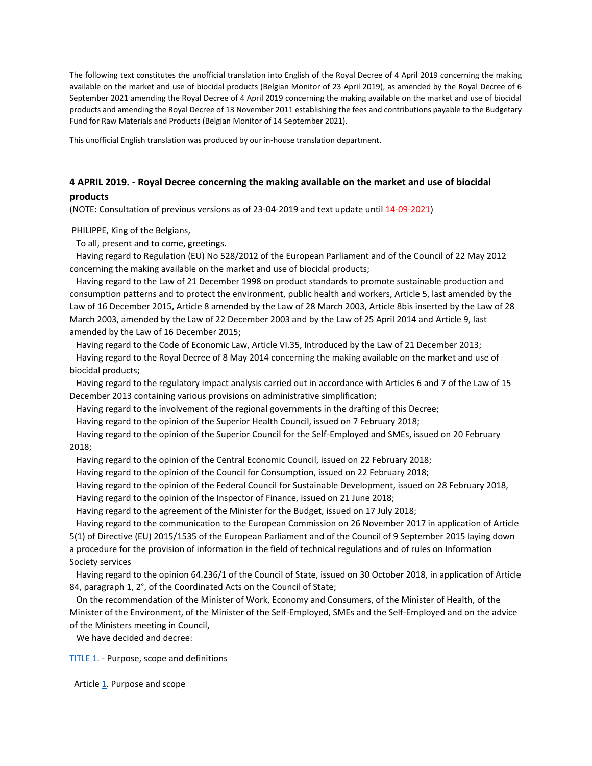The following text constitutes the unofficial translation into English of the Royal Decree of 4 April 2019 concerning the making available on the market and use of biocidal products (Belgian Monitor of 23 April 2019), as amended by the Royal Decree of 6 September 2021 amending the Royal Decree of 4 April 2019 concerning the making available on the market and use of biocidal products and amending the Royal Decree of 13 November 2011 establishing the fees and contributions payable to the Budgetary Fund for Raw Materials and Products (Belgian Monitor of 14 September 2021).

This unofficial English translation was produced by our in-house translation department.

# **4 APRIL 2019. - Royal Decree concerning the making available on the market and use of biocidal products**

(NOTE: Consultation of previous versions as of 23-04-2019 and text update until 14-09-2021)

PHILIPPE, King of the Belgians,

To all, present and to come, greetings.

 Having regard to Regulation (EU) No 528/2012 of the European Parliament and of the Council of 22 May 2012 concerning the making available on the market and use of biocidal products;

 Having regard to the Law of 21 December 1998 on product standards to promote sustainable production and consumption patterns and to protect the environment, public health and workers, Article 5, last amended by the Law of 16 December 2015, Article 8 amended by the Law of 28 March 2003, Article 8bis inserted by the Law of 28 March 2003, amended by the Law of 22 December 2003 and by the Law of 25 April 2014 and Article 9, last amended by the Law of 16 December 2015;

 Having regard to the Code of Economic Law, Article VI.35, Introduced by the Law of 21 December 2013; Having regard to the Royal Decree of 8 May 2014 concerning the making available on the market and use of biocidal products;

 Having regard to the regulatory impact analysis carried out in accordance with Articles 6 and 7 of the Law of 15 December 2013 containing various provisions on administrative simplification;

Having regard to the involvement of the regional governments in the drafting of this Decree;

Having regard to the opinion of the Superior Health Council, issued on 7 February 2018;

 Having regard to the opinion of the Superior Council for the Self-Employed and SMEs, issued on 20 February 2018;

Having regard to the opinion of the Central Economic Council, issued on 22 February 2018;

Having regard to the opinion of the Council for Consumption, issued on 22 February 2018;

 Having regard to the opinion of the Federal Council for Sustainable Development, issued on 28 February 2018, Having regard to the opinion of the Inspector of Finance, issued on 21 June 2018;

Having regard to the agreement of the Minister for the Budget, issued on 17 July 2018;

 Having regard to the communication to the European Commission on 26 November 2017 in application of Article 5(1) of Directive (EU) 2015/1535 of the European Parliament and of the Council of 9 September 2015 laying down a procedure for the provision of information in the field of technical regulations and of rules on Information Society services

 Having regard to the opinion 64.236/1 of the Council of State, issued on 30 October 2018, in application of Article 84, paragraph 1, 2°, of the Coordinated Acts on the Council of State;

 On the recommendation of the Minister of Work, Economy and Consumers, of the Minister of Health, of the Minister of the Environment, of the Minister of the Self-Employed, SMEs and the Self-Employed and on the advice of the Ministers meeting in Council,

We have decided and decree:

[TITLE 1.](http://www.ejustice.just.fgov.be/cgi_loi/loi_a1.pl?DETAIL=2019040431%2FN&caller=list&row_id=1&numero=6&rech=7&cn=2019040431&table_name=WET&nm=2019011845&la=N&chercher=t&dt=KONINKLIJK+BESLUIT&language=nl&choix1=EN&choix2=EN&fromtab=wet_all&nl=n&sql=dt+contains++%27KONINKLIJK%27%2526+%27BESLUIT%27+and+dd+%3D+date%272019-04-04%27and+actif+%3D+%27Y%27&ddda=2019&tri=dd+AS+RANK+&trier=afkondiging&dddj=04&dddm=04&imgcn.x=41&imgcn.y=9#LNKR0001) - Purpose, scope and definitions

Article [1.](http://www.ejustice.just.fgov.be/cgi_loi/loi_a1.pl?DETAIL=2019040431%2FN&caller=list&row_id=1&numero=6&rech=7&cn=2019040431&table_name=WET&nm=2019011845&la=N&chercher=t&dt=KONINKLIJK+BESLUIT&language=nl&choix1=EN&choix2=EN&fromtab=wet_all&nl=n&sql=dt+contains++%27KONINKLIJK%27%2526+%27BESLUIT%27+and+dd+%3D+date%272019-04-04%27and+actif+%3D+%27Y%27&ddda=2019&tri=dd+AS+RANK+&trier=afkondiging&dddj=04&dddm=04&imgcn.x=41&imgcn.y=9#Art.2) Purpose and scope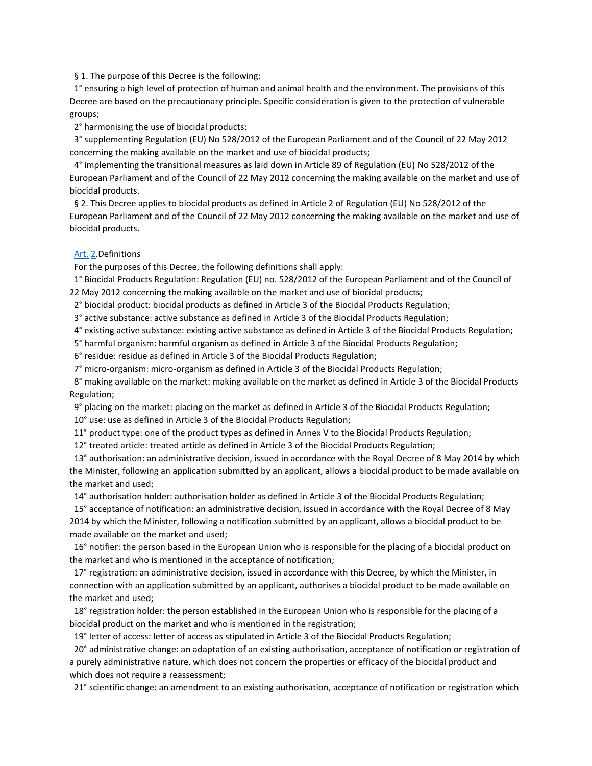### § 1. The purpose of this Decree is the following:

 1° ensuring a high level of protection of human and animal health and the environment. The provisions of this Decree are based on the precautionary principle. Specific consideration is given to the protection of vulnerable groups;

2° harmonising the use of biocidal products;

 3° supplementing Regulation (EU) No 528/2012 of the European Parliament and of the Council of 22 May 2012 concerning the making available on the market and use of biocidal products;

 4° implementing the transitional measures as laid down in Article 89 of Regulation (EU) No 528/2012 of the European Parliament and of the Council of 22 May 2012 concerning the making available on the market and use of biocidal products.

§ 2. This Decree applies to biocidal products as defined in Article 2 of Regulation (EU) No 528/2012 of the European Parliament and of the Council of 22 May 2012 concerning the making available on the market and use of biocidal products.

### Art. [2.](http://www.ejustice.just.fgov.be/cgi_loi/loi_a1.pl?DETAIL=2019040431%2FN&caller=list&row_id=1&numero=6&rech=7&cn=2019040431&table_name=WET&nm=2019011845&la=N&chercher=t&dt=KONINKLIJK+BESLUIT&language=nl&choix1=EN&choix2=EN&fromtab=wet_all&nl=n&sql=dt+contains++%27KONINKLIJK%27%2526+%27BESLUIT%27+and+dd+%3D+date%272019-04-04%27and+actif+%3D+%27Y%27&ddda=2019&tri=dd+AS+RANK+&trier=afkondiging&dddj=04&dddm=04&imgcn.x=41&imgcn.y=9#LNK0002)Definitions

For the purposes of this Decree, the following definitions shall apply:

 1° Biocidal Products Regulation: Regulation (EU) no. 528/2012 of the European Parliament and of the Council of 22 May 2012 concerning the making available on the market and use of biocidal products;

2° biocidal product: biocidal products as defined in Article 3 of the Biocidal Products Regulation;

3° active substance: active substance as defined in Article 3 of the Biocidal Products Regulation;

4° existing active substance: existing active substance as defined in Article 3 of the Biocidal Products Regulation;

5° harmful organism: harmful organism as defined in Article 3 of the Biocidal Products Regulation;

6° residue: residue as defined in Article 3 of the Biocidal Products Regulation;

7° micro-organism: micro-organism as defined in Article 3 of the Biocidal Products Regulation;

 8° making available on the market: making available on the market as defined in Article 3 of the Biocidal Products Regulation;

9° placing on the market: placing on the market as defined in Article 3 of the Biocidal Products Regulation;

10° use: use as defined in Article 3 of the Biocidal Products Regulation;

11° product type: one of the product types as defined in Annex V to the Biocidal Products Regulation;

12° treated article: treated article as defined in Article 3 of the Biocidal Products Regulation;

 13° authorisation: an administrative decision, issued in accordance with the Royal Decree of 8 May 2014 by which the Minister, following an application submitted by an applicant, allows a biocidal product to be made available on the market and used;

14° authorisation holder: authorisation holder as defined in Article 3 of the Biocidal Products Regulation;

 15° acceptance of notification: an administrative decision, issued in accordance with the Royal Decree of 8 May 2014 by which the Minister, following a notification submitted by an applicant, allows a biocidal product to be made available on the market and used;

 16° notifier: the person based in the European Union who is responsible for the placing of a biocidal product on the market and who is mentioned in the acceptance of notification;

 17° registration: an administrative decision, issued in accordance with this Decree, by which the Minister, in connection with an application submitted by an applicant, authorises a biocidal product to be made available on the market and used;

 18° registration holder: the person established in the European Union who is responsible for the placing of a biocidal product on the market and who is mentioned in the registration;

19° letter of access: letter of access as stipulated in Article 3 of the Biocidal Products Regulation;

 20° administrative change: an adaptation of an existing authorisation, acceptance of notification or registration of a purely administrative nature, which does not concern the properties or efficacy of the biocidal product and which does not require a reassessment;

21° scientific change: an amendment to an existing authorisation, acceptance of notification or registration which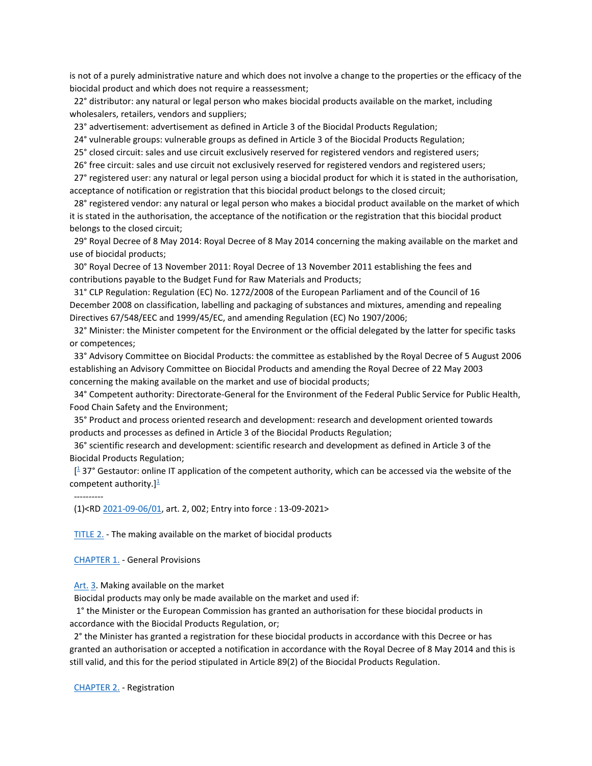is not of a purely administrative nature and which does not involve a change to the properties or the efficacy of the biocidal product and which does not require a reassessment;

 22° distributor: any natural or legal person who makes biocidal products available on the market, including wholesalers, retailers, vendors and suppliers;

23° advertisement: advertisement as defined in Article 3 of the Biocidal Products Regulation;

24° vulnerable groups: vulnerable groups as defined in Article 3 of the Biocidal Products Regulation;

25° closed circuit: sales and use circuit exclusively reserved for registered vendors and registered users;

26° free circuit: sales and use circuit not exclusively reserved for registered vendors and registered users;

 27° registered user: any natural or legal person using a biocidal product for which it is stated in the authorisation, acceptance of notification or registration that this biocidal product belongs to the closed circuit;

 28° registered vendor: any natural or legal person who makes a biocidal product available on the market of which it is stated in the authorisation, the acceptance of the notification or the registration that this biocidal product belongs to the closed circuit;

 29° Royal Decree of 8 May 2014: Royal Decree of 8 May 2014 concerning the making available on the market and use of biocidal products;

 30° Royal Decree of 13 November 2011: Royal Decree of 13 November 2011 establishing the fees and contributions payable to the Budget Fund for Raw Materials and Products;

 31° CLP Regulation: Regulation (EC) No. 1272/2008 of the European Parliament and of the Council of 16 December 2008 on classification, labelling and packaging of substances and mixtures, amending and repealing Directives 67/548/EEC and 1999/45/EC, and amending Regulation (EC) No 1907/2006;

 32° Minister: the Minister competent for the Environment or the official delegated by the latter for specific tasks or competences;

 33° Advisory Committee on Biocidal Products: the committee as established by the Royal Decree of 5 August 2006 establishing an Advisory Committee on Biocidal Products and amending the Royal Decree of 22 May 2003 concerning the making available on the market and use of biocidal products;

 34° Competent authority: Directorate-General for the Environment of the Federal Public Service for Public Health, Food Chain Safety and the Environment;

 35° Product and process oriented research and development: research and development oriented towards products and processes as defined in Article 3 of the Biocidal Products Regulation;

 36° scientific research and development: scientific research and development as defined in Article 3 of the Biocidal Products Regulation;

 [\[](http://www.ejustice.just.fgov.be/cgi_loi/loi_a1.pl?DETAIL=2019040431%2FN&caller=list&row_id=1&numero=6&rech=7&cn=2019040431&table_name=WET&nm=2019011845&la=N&chercher=t&dt=KONINKLIJK+BESLUIT&language=nl&choix1=EN&choix2=EN&fromtab=wet_all&nl=n&sql=dt+contains++%27KONINKLIJK%27%2526+%27BESLUIT%27+and+dd+%3D+date%272019-04-04%27and+actif+%3D+%27Y%27&ddda=2019&tri=dd+AS+RANK+&trier=afkondiging&dddj=04&dddm=04&imgcn.x=41&imgcn.y=9#t) <sup>1</sup> 37° Gestautor: online IT application of the competent authority, which can be accessed via the website of the competent authority.] $\frac{1}{2}$  $\frac{1}{2}$  $\frac{1}{2}$ 

## ----------

(1)<R[D 2021-09-06/01,](http://www.ejustice.just.fgov.be/cgi_loi/change_lg.pl?language=nl&la=N&table_name=wet&cn=2021090601) art. 2, 002; Entry into force : 13-09-2021>

 [TITLE 2.](http://www.ejustice.just.fgov.be/cgi_loi/loi_a1.pl?DETAIL=2019040431%2FN&caller=list&row_id=1&numero=6&rech=7&cn=2019040431&table_name=WET&nm=2019011845&la=N&chercher=t&dt=KONINKLIJK+BESLUIT&language=nl&choix1=EN&choix2=EN&fromtab=wet_all&nl=n&sql=dt+contains++%27KONINKLIJK%27%2526+%27BESLUIT%27+and+dd+%3D+date%272019-04-04%27and+actif+%3D+%27Y%27&ddda=2019&tri=dd+AS+RANK+&trier=afkondiging&dddj=04&dddm=04&imgcn.x=41&imgcn.y=9#LNKR0002) - The making available on the market of biocidal products

 [CHAPTER 1.](http://www.ejustice.just.fgov.be/cgi_loi/loi_a1.pl?DETAIL=2019040431%2FN&caller=list&row_id=1&numero=6&rech=7&cn=2019040431&table_name=WET&nm=2019011845&la=N&chercher=t&dt=KONINKLIJK+BESLUIT&language=nl&choix1=EN&choix2=EN&fromtab=wet_all&nl=n&sql=dt+contains++%27KONINKLIJK%27%2526+%27BESLUIT%27+and+dd+%3D+date%272019-04-04%27and+actif+%3D+%27Y%27&ddda=2019&tri=dd+AS+RANK+&trier=afkondiging&dddj=04&dddm=04&imgcn.x=41&imgcn.y=9#LNKR0003) - General Provisions

 [Art.](http://www.ejustice.just.fgov.be/cgi_loi/loi_a1.pl?DETAIL=2019040431%2FN&caller=list&row_id=1&numero=6&rech=7&cn=2019040431&table_name=WET&nm=2019011845&la=N&chercher=t&dt=KONINKLIJK+BESLUIT&language=nl&choix1=EN&choix2=EN&fromtab=wet_all&nl=n&sql=dt+contains++%27KONINKLIJK%27%2526+%27BESLUIT%27+and+dd+%3D+date%272019-04-04%27and+actif+%3D+%27Y%27&ddda=2019&tri=dd+AS+RANK+&trier=afkondiging&dddj=04&dddm=04&imgcn.x=41&imgcn.y=9#Art.2) [3.](http://www.ejustice.just.fgov.be/cgi_loi/loi_a1.pl?DETAIL=2019040431%2FN&caller=list&row_id=1&numero=6&rech=7&cn=2019040431&table_name=WET&nm=2019011845&la=N&chercher=t&dt=KONINKLIJK+BESLUIT&language=nl&choix1=EN&choix2=EN&fromtab=wet_all&nl=n&sql=dt+contains++%27KONINKLIJK%27%2526+%27BESLUIT%27+and+dd+%3D+date%272019-04-04%27and+actif+%3D+%27Y%27&ddda=2019&tri=dd+AS+RANK+&trier=afkondiging&dddj=04&dddm=04&imgcn.x=41&imgcn.y=9#LNK0004) Making available on the market

Biocidal products may only be made available on the market and used if:

 1° the Minister or the European Commission has granted an authorisation for these biocidal products in accordance with the Biocidal Products Regulation, or;

 2° the Minister has granted a registration for these biocidal products in accordance with this Decree or has granted an authorisation or accepted a notification in accordance with the Royal Decree of 8 May 2014 and this is still valid, and this for the period stipulated in Article 89(2) of the Biocidal Products Regulation.

 [CHAPTER 2.](http://www.ejustice.just.fgov.be/cgi_loi/loi_a1.pl?DETAIL=2019040431%2FN&caller=list&row_id=1&numero=6&rech=7&cn=2019040431&table_name=WET&nm=2019011845&la=N&chercher=t&dt=KONINKLIJK+BESLUIT&language=nl&choix1=EN&choix2=EN&fromtab=wet_all&nl=n&sql=dt+contains++%27KONINKLIJK%27%2526+%27BESLUIT%27+and+dd+%3D+date%272019-04-04%27and+actif+%3D+%27Y%27&ddda=2019&tri=dd+AS+RANK+&trier=afkondiging&dddj=04&dddm=04&imgcn.x=41&imgcn.y=9#LNKR0004) - Registration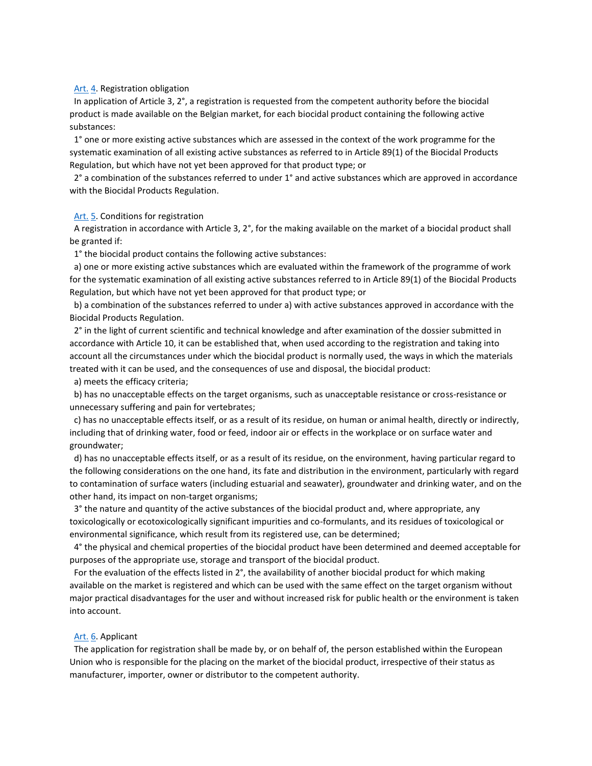### [Art.](http://www.ejustice.just.fgov.be/cgi_loi/loi_a1.pl?DETAIL=2019040431%2FN&caller=list&row_id=1&numero=6&rech=7&cn=2019040431&table_name=WET&nm=2019011845&la=N&chercher=t&dt=KONINKLIJK+BESLUIT&language=nl&choix1=EN&choix2=EN&fromtab=wet_all&nl=n&sql=dt+contains++%27KONINKLIJK%27%2526+%27BESLUIT%27+and+dd+%3D+date%272019-04-04%27and+actif+%3D+%27Y%27&ddda=2019&tri=dd+AS+RANK+&trier=afkondiging&dddj=04&dddm=04&imgcn.x=41&imgcn.y=9#Art.3) [4.](http://www.ejustice.just.fgov.be/cgi_loi/loi_a1.pl?DETAIL=2019040431%2FN&caller=list&row_id=1&numero=6&rech=7&cn=2019040431&table_name=WET&nm=2019011845&la=N&chercher=t&dt=KONINKLIJK+BESLUIT&language=nl&choix1=EN&choix2=EN&fromtab=wet_all&nl=n&sql=dt+contains++%27KONINKLIJK%27%2526+%27BESLUIT%27+and+dd+%3D+date%272019-04-04%27and+actif+%3D+%27Y%27&ddda=2019&tri=dd+AS+RANK+&trier=afkondiging&dddj=04&dddm=04&imgcn.x=41&imgcn.y=9#Art.5) Registration obligation

 In application of Article 3, 2°, a registration is requested from the competent authority before the biocidal product is made available on the Belgian market, for each biocidal product containing the following active substances:

 1° one or more existing active substances which are assessed in the context of the work programme for the systematic examination of all existing active substances as referred to in Article 89(1) of the Biocidal Products Regulation, but which have not yet been approved for that product type; or

 2° a combination of the substances referred to under 1° and active substances which are approved in accordance with the Biocidal Products Regulation.

### [Art.](http://www.ejustice.just.fgov.be/cgi_loi/loi_a1.pl?DETAIL=2019040431%2FN&caller=list&row_id=1&numero=6&rech=7&cn=2019040431&table_name=WET&nm=2019011845&la=N&chercher=t&dt=KONINKLIJK+BESLUIT&language=nl&choix1=EN&choix2=EN&fromtab=wet_all&nl=n&sql=dt+contains++%27KONINKLIJK%27%2526+%27BESLUIT%27+and+dd+%3D+date%272019-04-04%27and+actif+%3D+%27Y%27&ddda=2019&tri=dd+AS+RANK+&trier=afkondiging&dddj=04&dddm=04&imgcn.x=41&imgcn.y=9#Art.4) [5.](http://www.ejustice.just.fgov.be/cgi_loi/loi_a1.pl?DETAIL=2019040431%2FN&caller=list&row_id=1&numero=6&rech=7&cn=2019040431&table_name=WET&nm=2019011845&la=N&chercher=t&dt=KONINKLIJK+BESLUIT&language=nl&choix1=EN&choix2=EN&fromtab=wet_all&nl=n&sql=dt+contains++%27KONINKLIJK%27%2526+%27BESLUIT%27+and+dd+%3D+date%272019-04-04%27and+actif+%3D+%27Y%27&ddda=2019&tri=dd+AS+RANK+&trier=afkondiging&dddj=04&dddm=04&imgcn.x=41&imgcn.y=9#Art.6) Conditions for registration

 A registration in accordance with Article 3, 2°, for the making available on the market of a biocidal product shall be granted if:

1° the biocidal product contains the following active substances:

 a) one or more existing active substances which are evaluated within the framework of the programme of work for the systematic examination of all existing active substances referred to in Article 89(1) of the Biocidal Products Regulation, but which have not yet been approved for that product type; or

 b) a combination of the substances referred to under a) with active substances approved in accordance with the Biocidal Products Regulation.

 2° in the light of current scientific and technical knowledge and after examination of the dossier submitted in accordance with Article 10, it can be established that, when used according to the registration and taking into account all the circumstances under which the biocidal product is normally used, the ways in which the materials treated with it can be used, and the consequences of use and disposal, the biocidal product:

a) meets the efficacy criteria;

 b) has no unacceptable effects on the target organisms, such as unacceptable resistance or cross-resistance or unnecessary suffering and pain for vertebrates;

 c) has no unacceptable effects itself, or as a result of its residue, on human or animal health, directly or indirectly, including that of drinking water, food or feed, indoor air or effects in the workplace or on surface water and groundwater;

 d) has no unacceptable effects itself, or as a result of its residue, on the environment, having particular regard to the following considerations on the one hand, its fate and distribution in the environment, particularly with regard to contamination of surface waters (including estuarial and seawater), groundwater and drinking water, and on the other hand, its impact on non-target organisms;

 3° the nature and quantity of the active substances of the biocidal product and, where appropriate, any toxicologically or ecotoxicologically significant impurities and co-formulants, and its residues of toxicological or environmental significance, which result from its registered use, can be determined;

 4° the physical and chemical properties of the biocidal product have been determined and deemed acceptable for purposes of the appropriate use, storage and transport of the biocidal product.

 For the evaluation of the effects listed in 2°, the availability of another biocidal product for which making available on the market is registered and which can be used with the same effect on the target organism without major practical disadvantages for the user and without increased risk for public health or the environment is taken into account.

## Art. [6.](http://www.ejustice.just.fgov.be/cgi_loi/loi_a1.pl?DETAIL=2019040431%2FN&caller=list&row_id=1&numero=6&rech=7&cn=2019040431&table_name=WET&nm=2019011845&la=N&chercher=t&dt=KONINKLIJK+BESLUIT&language=nl&choix1=EN&choix2=EN&fromtab=wet_all&nl=n&sql=dt+contains++%27KONINKLIJK%27%2526+%27BESLUIT%27+and+dd+%3D+date%272019-04-04%27and+actif+%3D+%27Y%27&ddda=2019&tri=dd+AS+RANK+&trier=afkondiging&dddj=04&dddm=04&imgcn.x=41&imgcn.y=9#Art.7) Applicant

 The application for registration shall be made by, or on behalf of, the person established within the European Union who is responsible for the placing on the market of the biocidal product, irrespective of their status as manufacturer, importer, owner or distributor to the competent authority.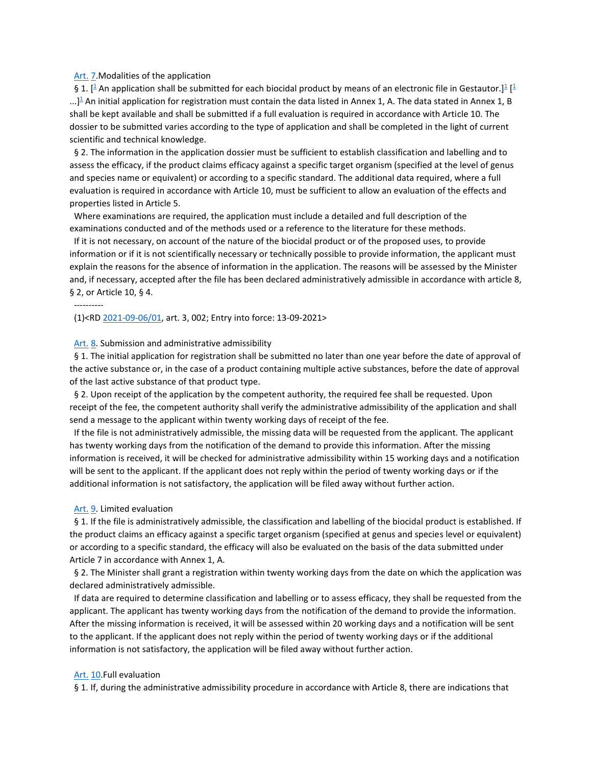#### [Art.](http://www.ejustice.just.fgov.be/cgi_loi/loi_a1.pl?DETAIL=2019040431%2FN&caller=list&row_id=1&numero=6&rech=7&cn=2019040431&table_name=WET&nm=2019011845&la=N&chercher=t&dt=KONINKLIJK+BESLUIT&language=nl&choix1=EN&choix2=EN&fromtab=wet_all&nl=n&sql=dt+contains++%27KONINKLIJK%27%2526+%27BESLUIT%27+and+dd+%3D+date%272019-04-04%27and+actif+%3D+%27Y%27&ddda=2019&tri=dd+AS+RANK+&trier=afkondiging&dddj=04&dddm=04&imgcn.x=41&imgcn.y=9#Art.6) [7.](http://www.ejustice.just.fgov.be/cgi_loi/loi_a1.pl?DETAIL=2019040431%2FN&caller=list&row_id=1&numero=6&rech=7&cn=2019040431&table_name=WET&nm=2019011845&la=N&chercher=t&dt=KONINKLIJK+BESLUIT&language=nl&choix1=EN&choix2=EN&fromtab=wet_all&nl=n&sql=dt+contains++%27KONINKLIJK%27%2526+%27BESLUIT%27+and+dd+%3D+date%272019-04-04%27and+actif+%3D+%27Y%27&ddda=2019&tri=dd+AS+RANK+&trier=afkondiging&dddj=04&dddm=04&imgcn.x=41&imgcn.y=9#Art.8)Modalities of the application

§ 1. [\[](http://www.ejustice.just.fgov.be/cgi_loi/loi_a1.pl?DETAIL=2019040431%2FN&caller=list&row_id=1&numero=6&rech=7&cn=2019040431&table_name=WET&nm=2019011845&la=N&chercher=t&dt=KONINKLIJK+BESLUIT&language=nl&choix1=EN&choix2=EN&fromtab=wet_all&nl=n&sql=dt+contains++%27KONINKLIJK%27%2526+%27BESLUIT%27+and+dd+%3D+date%272019-04-04%27and+actif+%3D+%27Y%27&ddda=2019&tri=dd+AS+RANK+&trier=afkondiging&dddj=04&dddm=04&imgcn.x=41&imgcn.y=9#t)<sup>1</sup> An application shall be submitted for each biocidal product by means of an electronic file in Gestautor.[\]](http://www.ejustice.just.fgov.be/cgi_loi/loi_a1.pl?DETAIL=2019040431%2FN&caller=list&row_id=1&numero=6&rech=7&cn=2019040431&table_name=WET&nm=2019011845&la=N&chercher=t&dt=KONINKLIJK+BESLUIT&language=nl&choix1=EN&choix2=EN&fromtab=wet_all&nl=n&sql=dt+contains++%27KONINKLIJK%27%2526+%27BESLUIT%27+and+dd+%3D+date%272019-04-04%27and+actif+%3D+%27Y%27&ddda=2019&tri=dd+AS+RANK+&trier=afkondiging&dddj=04&dddm=04&imgcn.x=41&imgcn.y=9#t)<sup>1</sup> [<sup>1</sup>  $...$ [\]](http://www.ejustice.just.fgov.be/cgi_loi/loi_a1.pl?DETAIL=2019040431%2FN&caller=list&row_id=1&numero=6&rech=7&cn=2019040431&table_name=WET&nm=2019011845&la=N&chercher=t&dt=KONINKLIJK+BESLUIT&language=nl&choix1=EN&choix2=EN&fromtab=wet_all&nl=n&sql=dt+contains++%27KONINKLIJK%27%2526+%27BESLUIT%27+and+dd+%3D+date%272019-04-04%27and+actif+%3D+%27Y%27&ddda=2019&tri=dd+AS+RANK+&trier=afkondiging&dddj=04&dddm=04&imgcn.x=41&imgcn.y=9#t)<sup>1</sup> An initial application for registration must contain the data listed in Annex 1, A. The data stated in Annex 1, B shall be kept available and shall be submitted if a full evaluation is required in accordance with Article 10. The dossier to be submitted varies according to the type of application and shall be completed in the light of current scientific and technical knowledge.

 § 2. The information in the application dossier must be sufficient to establish classification and labelling and to assess the efficacy, if the product claims efficacy against a specific target organism (specified at the level of genus and species name or equivalent) or according to a specific standard. The additional data required, where a full evaluation is required in accordance with Article 10, must be sufficient to allow an evaluation of the effects and properties listed in Article 5.

 Where examinations are required, the application must include a detailed and full description of the examinations conducted and of the methods used or a reference to the literature for these methods.

 If it is not necessary, on account of the nature of the biocidal product or of the proposed uses, to provide information or if it is not scientifically necessary or technically possible to provide information, the applicant must explain the reasons for the absence of information in the application. The reasons will be assessed by the Minister and, if necessary, accepted after the file has been declared administratively admissible in accordance with article 8, § 2, or Article 10, § 4.

(1)<R[D 2021-09-06/01,](http://www.ejustice.just.fgov.be/cgi_loi/change_lg.pl?language=nl&la=N&table_name=wet&cn=2021090601) art. 3, 002; Entry into force: 13-09-2021>

#### [Art.](http://www.ejustice.just.fgov.be/cgi_loi/loi_a1.pl?DETAIL=2019040431%2FN&caller=list&row_id=1&numero=6&rech=7&cn=2019040431&table_name=WET&nm=2019011845&la=N&chercher=t&dt=KONINKLIJK+BESLUIT&language=nl&choix1=EN&choix2=EN&fromtab=wet_all&nl=n&sql=dt+contains++%27KONINKLIJK%27%2526+%27BESLUIT%27+and+dd+%3D+date%272019-04-04%27and+actif+%3D+%27Y%27&ddda=2019&tri=dd+AS+RANK+&trier=afkondiging&dddj=04&dddm=04&imgcn.x=41&imgcn.y=9#Art.7) [8.](http://www.ejustice.just.fgov.be/cgi_loi/loi_a1.pl?DETAIL=2019040431%2FN&caller=list&row_id=1&numero=6&rech=7&cn=2019040431&table_name=WET&nm=2019011845&la=N&chercher=t&dt=KONINKLIJK+BESLUIT&language=nl&choix1=EN&choix2=EN&fromtab=wet_all&nl=n&sql=dt+contains++%27KONINKLIJK%27%2526+%27BESLUIT%27+and+dd+%3D+date%272019-04-04%27and+actif+%3D+%27Y%27&ddda=2019&tri=dd+AS+RANK+&trier=afkondiging&dddj=04&dddm=04&imgcn.x=41&imgcn.y=9#Art.9) Submission and administrative admissibility

 § 1. The initial application for registration shall be submitted no later than one year before the date of approval of the active substance or, in the case of a product containing multiple active substances, before the date of approval of the last active substance of that product type.

 § 2. Upon receipt of the application by the competent authority, the required fee shall be requested. Upon receipt of the fee, the competent authority shall verify the administrative admissibility of the application and shall send a message to the applicant within twenty working days of receipt of the fee.

 If the file is not administratively admissible, the missing data will be requested from the applicant. The applicant has twenty working days from the notification of the demand to provide this information. After the missing information is received, it will be checked for administrative admissibility within 15 working days and a notification will be sent to the applicant. If the applicant does not reply within the period of twenty working days or if the additional information is not satisfactory, the application will be filed away without further action.

## Art. [9.](http://www.ejustice.just.fgov.be/cgi_loi/loi_a1.pl?DETAIL=2019040431%2FN&caller=list&row_id=1&numero=6&rech=7&cn=2019040431&table_name=WET&nm=2019011845&la=N&chercher=t&dt=KONINKLIJK+BESLUIT&language=nl&choix1=EN&choix2=EN&fromtab=wet_all&nl=n&sql=dt+contains++%27KONINKLIJK%27%2526+%27BESLUIT%27+and+dd+%3D+date%272019-04-04%27and+actif+%3D+%27Y%27&ddda=2019&tri=dd+AS+RANK+&trier=afkondiging&dddj=04&dddm=04&imgcn.x=41&imgcn.y=9#Art.10) Limited evaluation

----------

 § 1. If the file is administratively admissible, the classification and labelling of the biocidal product is established. If the product claims an efficacy against a specific target organism (specified at genus and species level or equivalent) or according to a specific standard, the efficacy will also be evaluated on the basis of the data submitted under Article 7 in accordance with Annex 1, A.

 § 2. The Minister shall grant a registration within twenty working days from the date on which the application was declared administratively admissible.

 If data are required to determine classification and labelling or to assess efficacy, they shall be requested from the applicant. The applicant has twenty working days from the notification of the demand to provide the information. After the missing information is received, it will be assessed within 20 working days and a notification will be sent to the applicant. If the applicant does not reply within the period of twenty working days or if the additional information is not satisfactory, the application will be filed away without further action.

### Art. 10 Full evaluation

§ 1. If, during the administrative admissibility procedure in accordance with Article 8, there are indications that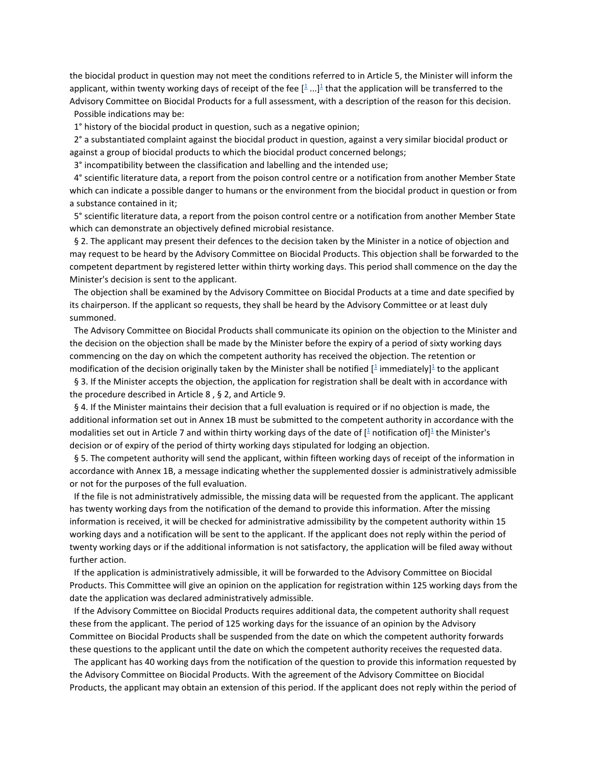the biocidal product in question may not meet the conditions referred to in Article 5, the Minister will inform the applicant, within twenty working days of receipt of the fee  $[$ <sup>[1](http://www.ejustice.just.fgov.be/cgi_loi/loi_a1.pl?DETAIL=2019040431%2FN&caller=list&row_id=1&numero=6&rech=7&cn=2019040431&table_name=WET&nm=2019011845&la=N&chercher=t&dt=KONINKLIJK+BESLUIT&language=nl&choix1=EN&choix2=EN&fromtab=wet_all&nl=n&sql=dt+contains++%27KONINKLIJK%27%2526+%27BESLUIT%27+and+dd+%3D+date%272019-04-04%27and+actif+%3D+%27Y%27&ddda=2019&tri=dd+AS+RANK+&trier=afkondiging&dddj=04&dddm=04&imgcn.x=41&imgcn.y=9#t)</sup> ...]<sup>1</sup> that the application will be transferred to the Advisory Committee on Biocidal Products for a full assessment, with a description of the reason for this decision. Possible indications may be:

1° history of the biocidal product in question, such as a negative opinion;

 2° a substantiated complaint against the biocidal product in question, against a very similar biocidal product or against a group of biocidal products to which the biocidal product concerned belongs;

3° incompatibility between the classification and labelling and the intended use;

 4° scientific literature data, a report from the poison control centre or a notification from another Member State which can indicate a possible danger to humans or the environment from the biocidal product in question or from a substance contained in it;

 5° scientific literature data, a report from the poison control centre or a notification from another Member State which can demonstrate an objectively defined microbial resistance.

 § 2. The applicant may present their defences to the decision taken by the Minister in a notice of objection and may request to be heard by the Advisory Committee on Biocidal Products. This objection shall be forwarded to the competent department by registered letter within thirty working days. This period shall commence on the day the Minister's decision is sent to the applicant.

 The objection shall be examined by the Advisory Committee on Biocidal Products at a time and date specified by its chairperson. If the applicant so requests, they shall be heard by the Advisory Committee or at least duly summoned.

 The Advisory Committee on Biocidal Products shall communicate its opinion on the objection to the Minister and the decision on the objection shall be made by the Minister before the expiry of a period of sixty working days commencing on the day on which the competent authority has received the objection. The retention or modification of the decision originally taken by the Minister shall be notified [ $\frac{1}{2}$  $\frac{1}{2}$  $\frac{1}{2}$  immediately[\]](http://www.ejustice.just.fgov.be/cgi_loi/loi_a1.pl?DETAIL=2019040431%2FN&caller=list&row_id=1&numero=6&rech=7&cn=2019040431&table_name=WET&nm=2019011845&la=N&chercher=t&dt=KONINKLIJK+BESLUIT&language=nl&choix1=EN&choix2=EN&fromtab=wet_all&nl=n&sql=dt+contains++%27KONINKLIJK%27%2526+%27BESLUIT%27+and+dd+%3D+date%272019-04-04%27and+actif+%3D+%27Y%27&ddda=2019&tri=dd+AS+RANK+&trier=afkondiging&dddj=04&dddm=04&imgcn.x=41&imgcn.y=9#t)<sup>1</sup> to the applicant

 § 3. If the Minister accepts the objection, the application for registration shall be dealt with in accordance with the procedure described in Article 8 , § 2, and Article 9.

 § 4. If the Minister maintains their decision that a full evaluation is required or if no objection is made, the additional information set out in Annex 1B must be submitted to the competent authority in accordance with the modalities set out in Article 7 and within thirty working days of the date of [\[](http://www.ejustice.just.fgov.be/cgi_loi/loi_a1.pl?DETAIL=2019040431%2FN&caller=list&row_id=1&numero=6&rech=7&cn=2019040431&table_name=WET&nm=2019011845&la=N&chercher=t&dt=KONINKLIJK+BESLUIT&language=nl&choix1=EN&choix2=EN&fromtab=wet_all&nl=n&sql=dt+contains++%27KONINKLIJK%27%2526+%27BESLUIT%27+and+dd+%3D+date%272019-04-04%27and+actif+%3D+%27Y%27&ddda=2019&tri=dd+AS+RANK+&trier=afkondiging&dddj=04&dddm=04&imgcn.x=41&imgcn.y=9#t) $\frac{1}{2}$  notification of[\]](http://www.ejustice.just.fgov.be/cgi_loi/loi_a1.pl?DETAIL=2019040431%2FN&caller=list&row_id=1&numero=6&rech=7&cn=2019040431&table_name=WET&nm=2019011845&la=N&chercher=t&dt=KONINKLIJK+BESLUIT&language=nl&choix1=EN&choix2=EN&fromtab=wet_all&nl=n&sql=dt+contains++%27KONINKLIJK%27%2526+%27BESLUIT%27+and+dd+%3D+date%272019-04-04%27and+actif+%3D+%27Y%27&ddda=2019&tri=dd+AS+RANK+&trier=afkondiging&dddj=04&dddm=04&imgcn.x=41&imgcn.y=9#t) $\frac{1}{2}$  the Minister's decision or of expiry of the period of thirty working days stipulated for lodging an objection.

 § 5. The competent authority will send the applicant, within fifteen working days of receipt of the information in accordance with Annex 1B, a message indicating whether the supplemented dossier is administratively admissible or not for the purposes of the full evaluation.

 If the file is not administratively admissible, the missing data will be requested from the applicant. The applicant has twenty working days from the notification of the demand to provide this information. After the missing information is received, it will be checked for administrative admissibility by the competent authority within 15 working days and a notification will be sent to the applicant. If the applicant does not reply within the period of twenty working days or if the additional information is not satisfactory, the application will be filed away without further action.

 If the application is administratively admissible, it will be forwarded to the Advisory Committee on Biocidal Products. This Committee will give an opinion on the application for registration within 125 working days from the date the application was declared administratively admissible.

 If the Advisory Committee on Biocidal Products requires additional data, the competent authority shall request these from the applicant. The period of 125 working days for the issuance of an opinion by the Advisory Committee on Biocidal Products shall be suspended from the date on which the competent authority forwards these questions to the applicant until the date on which the competent authority receives the requested data.

 The applicant has 40 working days from the notification of the question to provide this information requested by the Advisory Committee on Biocidal Products. With the agreement of the Advisory Committee on Biocidal Products, the applicant may obtain an extension of this period. If the applicant does not reply within the period of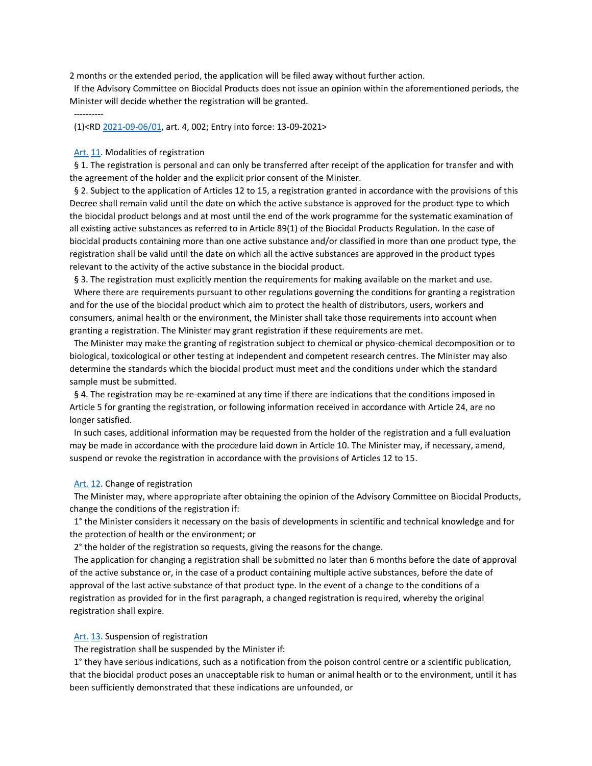2 months or the extended period, the application will be filed away without further action.

 If the Advisory Committee on Biocidal Products does not issue an opinion within the aforementioned periods, the Minister will decide whether the registration will be granted.

(1)<R[D 2021-09-06/01,](http://www.ejustice.just.fgov.be/cgi_loi/change_lg.pl?language=nl&la=N&table_name=wet&cn=2021090601) art. 4, 002; Entry into force: 13-09-2021>

#### Art. [11.](http://www.ejustice.just.fgov.be/cgi_loi/loi_a1.pl?DETAIL=2019040431%2FN&caller=list&row_id=1&numero=6&rech=7&cn=2019040431&table_name=WET&nm=2019011845&la=N&chercher=t&dt=KONINKLIJK+BESLUIT&language=nl&choix1=EN&choix2=EN&fromtab=wet_all&nl=n&sql=dt+contains++%27KONINKLIJK%27%2526+%27BESLUIT%27+and+dd+%3D+date%272019-04-04%27and+actif+%3D+%27Y%27&ddda=2019&tri=dd+AS+RANK+&trier=afkondiging&dddj=04&dddm=04&imgcn.x=41&imgcn.y=9#Art.12) Modalities of registration

----------

 § 1. The registration is personal and can only be transferred after receipt of the application for transfer and with the agreement of the holder and the explicit prior consent of the Minister.

 § 2. Subject to the application of Articles 12 to 15, a registration granted in accordance with the provisions of this Decree shall remain valid until the date on which the active substance is approved for the product type to which the biocidal product belongs and at most until the end of the work programme for the systematic examination of all existing active substances as referred to in Article 89(1) of the Biocidal Products Regulation. In the case of biocidal products containing more than one active substance and/or classified in more than one product type, the registration shall be valid until the date on which all the active substances are approved in the product types relevant to the activity of the active substance in the biocidal product.

 § 3. The registration must explicitly mention the requirements for making available on the market and use. Where there are requirements pursuant to other regulations governing the conditions for granting a registration and for the use of the biocidal product which aim to protect the health of distributors, users, workers and consumers, animal health or the environment, the Minister shall take those requirements into account when granting a registration. The Minister may grant registration if these requirements are met.

 The Minister may make the granting of registration subject to chemical or physico-chemical decomposition or to biological, toxicological or other testing at independent and competent research centres. The Minister may also determine the standards which the biocidal product must meet and the conditions under which the standard sample must be submitted.

 § 4. The registration may be re-examined at any time if there are indications that the conditions imposed in Article 5 for granting the registration, or following information received in accordance with Article 24, are no longer satisfied.

 In such cases, additional information may be requested from the holder of the registration and a full evaluation may be made in accordance with the procedure laid down in Article 10. The Minister may, if necessary, amend, suspend or revoke the registration in accordance with the provisions of Articles 12 to 15.

## [Art.](http://www.ejustice.just.fgov.be/cgi_loi/loi_a1.pl?DETAIL=2019040431%2FN&caller=list&row_id=1&numero=6&rech=7&cn=2019040431&table_name=WET&nm=2019011845&la=N&chercher=t&dt=KONINKLIJK+BESLUIT&language=nl&choix1=EN&choix2=EN&fromtab=wet_all&nl=n&sql=dt+contains++%27KONINKLIJK%27%2526+%27BESLUIT%27+and+dd+%3D+date%272019-04-04%27and+actif+%3D+%27Y%27&ddda=2019&tri=dd+AS+RANK+&trier=afkondiging&dddj=04&dddm=04&imgcn.x=41&imgcn.y=9#Art.11) [12.](http://www.ejustice.just.fgov.be/cgi_loi/loi_a1.pl?DETAIL=2019040431%2FN&caller=list&row_id=1&numero=6&rech=7&cn=2019040431&table_name=WET&nm=2019011845&la=N&chercher=t&dt=KONINKLIJK+BESLUIT&language=nl&choix1=EN&choix2=EN&fromtab=wet_all&nl=n&sql=dt+contains++%27KONINKLIJK%27%2526+%27BESLUIT%27+and+dd+%3D+date%272019-04-04%27and+actif+%3D+%27Y%27&ddda=2019&tri=dd+AS+RANK+&trier=afkondiging&dddj=04&dddm=04&imgcn.x=41&imgcn.y=9#Art.13) Change of registration

 The Minister may, where appropriate after obtaining the opinion of the Advisory Committee on Biocidal Products, change the conditions of the registration if:

 1° the Minister considers it necessary on the basis of developments in scientific and technical knowledge and for the protection of health or the environment; or

2° the holder of the registration so requests, giving the reasons for the change.

 The application for changing a registration shall be submitted no later than 6 months before the date of approval of the active substance or, in the case of a product containing multiple active substances, before the date of approval of the last active substance of that product type. In the event of a change to the conditions of a registration as provided for in the first paragraph, a changed registration is required, whereby the original registration shall expire.

### Art. [13.](http://www.ejustice.just.fgov.be/cgi_loi/loi_a1.pl?DETAIL=2019040431%2FN&caller=list&row_id=1&numero=6&rech=7&cn=2019040431&table_name=WET&nm=2019011845&la=N&chercher=t&dt=KONINKLIJK+BESLUIT&language=nl&choix1=EN&choix2=EN&fromtab=wet_all&nl=n&sql=dt+contains++%27KONINKLIJK%27%2526+%27BESLUIT%27+and+dd+%3D+date%272019-04-04%27and+actif+%3D+%27Y%27&ddda=2019&tri=dd+AS+RANK+&trier=afkondiging&dddj=04&dddm=04&imgcn.x=41&imgcn.y=9#Art.14) Suspension of registration

The registration shall be suspended by the Minister if:

 1° they have serious indications, such as a notification from the poison control centre or a scientific publication, that the biocidal product poses an unacceptable risk to human or animal health or to the environment, until it has been sufficiently demonstrated that these indications are unfounded, or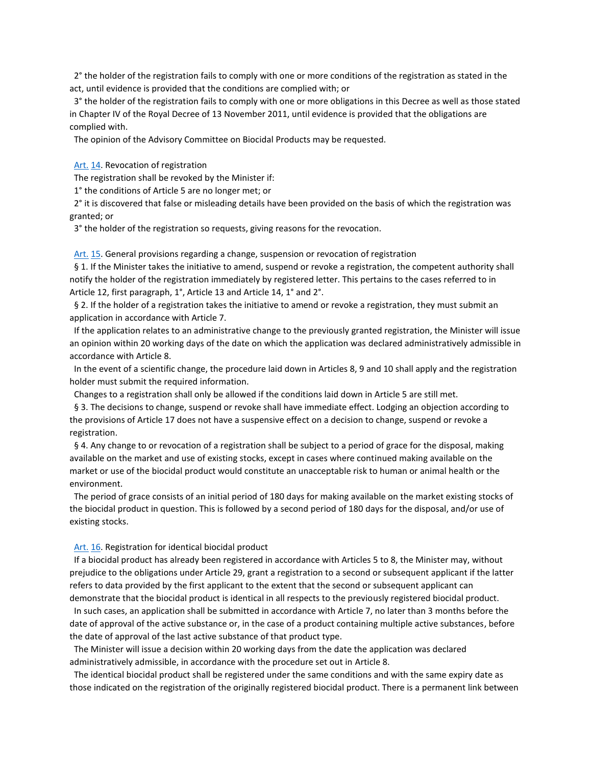2° the holder of the registration fails to comply with one or more conditions of the registration as stated in the act, until evidence is provided that the conditions are complied with; or

 3° the holder of the registration fails to comply with one or more obligations in this Decree as well as those stated in Chapter IV of the Royal Decree of 13 November 2011, until evidence is provided that the obligations are complied with.

The opinion of the Advisory Committee on Biocidal Products may be requested.

Art. [14.](http://www.ejustice.just.fgov.be/cgi_loi/loi_a1.pl?DETAIL=2019040431%2FN&caller=list&row_id=1&numero=6&rech=7&cn=2019040431&table_name=WET&nm=2019011845&la=N&chercher=t&dt=KONINKLIJK+BESLUIT&language=nl&choix1=EN&choix2=EN&fromtab=wet_all&nl=n&sql=dt+contains++%27KONINKLIJK%27%2526+%27BESLUIT%27+and+dd+%3D+date%272019-04-04%27and+actif+%3D+%27Y%27&ddda=2019&tri=dd+AS+RANK+&trier=afkondiging&dddj=04&dddm=04&imgcn.x=41&imgcn.y=9#Art.15) Revocation of registration

The registration shall be revoked by the Minister if:

1° the conditions of Article 5 are no longer met; or

 2° it is discovered that false or misleading details have been provided on the basis of which the registration was granted; or

3° the holder of the registration so requests, giving reasons for the revocation.

 [Art.](http://www.ejustice.just.fgov.be/cgi_loi/loi_a1.pl?DETAIL=2019040431%2FN&caller=list&row_id=1&numero=6&rech=7&cn=2019040431&table_name=WET&nm=2019011845&la=N&chercher=t&dt=KONINKLIJK+BESLUIT&language=nl&choix1=EN&choix2=EN&fromtab=wet_all&nl=n&sql=dt+contains++%27KONINKLIJK%27%2526+%27BESLUIT%27+and+dd+%3D+date%272019-04-04%27and+actif+%3D+%27Y%27&ddda=2019&tri=dd+AS+RANK+&trier=afkondiging&dddj=04&dddm=04&imgcn.x=41&imgcn.y=9#Art.14) [15.](http://www.ejustice.just.fgov.be/cgi_loi/loi_a1.pl?DETAIL=2019040431%2FN&caller=list&row_id=1&numero=6&rech=7&cn=2019040431&table_name=WET&nm=2019011845&la=N&chercher=t&dt=KONINKLIJK+BESLUIT&language=nl&choix1=EN&choix2=EN&fromtab=wet_all&nl=n&sql=dt+contains++%27KONINKLIJK%27%2526+%27BESLUIT%27+and+dd+%3D+date%272019-04-04%27and+actif+%3D+%27Y%27&ddda=2019&tri=dd+AS+RANK+&trier=afkondiging&dddj=04&dddm=04&imgcn.x=41&imgcn.y=9#Art.16) General provisions regarding a change, suspension or revocation of registration

 § 1. If the Minister takes the initiative to amend, suspend or revoke a registration, the competent authority shall notify the holder of the registration immediately by registered letter. This pertains to the cases referred to in Article 12, first paragraph, 1°, Article 13 and Article 14, 1° and 2°.

 § 2. If the holder of a registration takes the initiative to amend or revoke a registration, they must submit an application in accordance with Article 7.

 If the application relates to an administrative change to the previously granted registration, the Minister will issue an opinion within 20 working days of the date on which the application was declared administratively admissible in accordance with Article 8.

 In the event of a scientific change, the procedure laid down in Articles 8, 9 and 10 shall apply and the registration holder must submit the required information.

Changes to a registration shall only be allowed if the conditions laid down in Article 5 are still met.

 § 3. The decisions to change, suspend or revoke shall have immediate effect. Lodging an objection according to the provisions of Article 17 does not have a suspensive effect on a decision to change, suspend or revoke a registration.

 § 4. Any change to or revocation of a registration shall be subject to a period of grace for the disposal, making available on the market and use of existing stocks, except in cases where continued making available on the market or use of the biocidal product would constitute an unacceptable risk to human or animal health or the environment.

 The period of grace consists of an initial period of 180 days for making available on the market existing stocks of the biocidal product in question. This is followed by a second period of 180 days for the disposal, and/or use of existing stocks.

## Art. [16.](http://www.ejustice.just.fgov.be/cgi_loi/loi_a1.pl?DETAIL=2019040431%2FN&caller=list&row_id=1&numero=6&rech=7&cn=2019040431&table_name=WET&nm=2019011845&la=N&chercher=t&dt=KONINKLIJK+BESLUIT&language=nl&choix1=EN&choix2=EN&fromtab=wet_all&nl=n&sql=dt+contains++%27KONINKLIJK%27%2526+%27BESLUIT%27+and+dd+%3D+date%272019-04-04%27and+actif+%3D+%27Y%27&ddda=2019&tri=dd+AS+RANK+&trier=afkondiging&dddj=04&dddm=04&imgcn.x=41&imgcn.y=9#Art.17) Registration for identical biocidal product

 If a biocidal product has already been registered in accordance with Articles 5 to 8, the Minister may, without prejudice to the obligations under Article 29, grant a registration to a second or subsequent applicant if the latter refers to data provided by the first applicant to the extent that the second or subsequent applicant can demonstrate that the biocidal product is identical in all respects to the previously registered biocidal product.

 In such cases, an application shall be submitted in accordance with Article 7, no later than 3 months before the date of approval of the active substance or, in the case of a product containing multiple active substances, before the date of approval of the last active substance of that product type.

 The Minister will issue a decision within 20 working days from the date the application was declared administratively admissible, in accordance with the procedure set out in Article 8.

 The identical biocidal product shall be registered under the same conditions and with the same expiry date as those indicated on the registration of the originally registered biocidal product. There is a permanent link between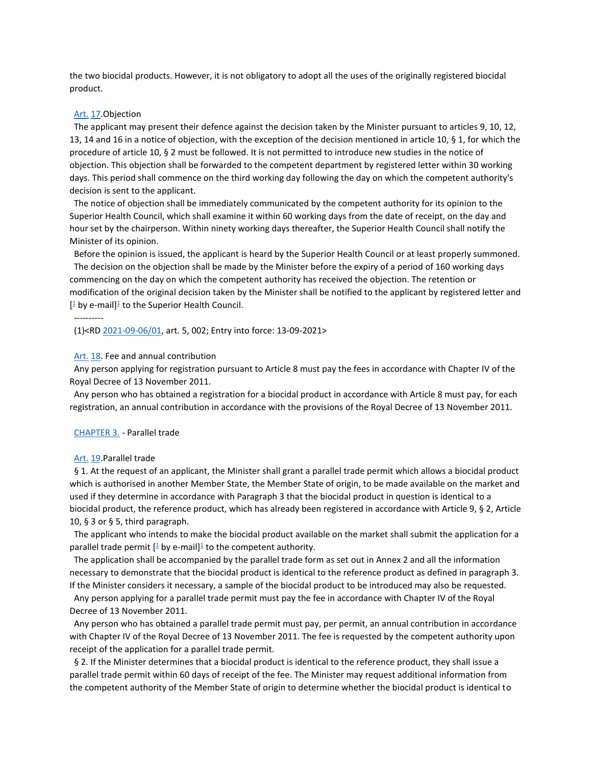the two biocidal products. However, it is not obligatory to adopt all the uses of the originally registered biocidal product.

#### [Art.](http://www.ejustice.just.fgov.be/cgi_loi/loi_a1.pl?DETAIL=2019040431%2FN&caller=list&row_id=1&numero=6&rech=7&cn=2019040431&table_name=WET&nm=2019011845&la=N&chercher=t&dt=KONINKLIJK+BESLUIT&language=nl&choix1=EN&choix2=EN&fromtab=wet_all&nl=n&sql=dt+contains++%27KONINKLIJK%27%2526+%27BESLUIT%27+and+dd+%3D+date%272019-04-04%27and+actif+%3D+%27Y%27&ddda=2019&tri=dd+AS+RANK+&trier=afkondiging&dddj=04&dddm=04&imgcn.x=41&imgcn.y=9#Art.16) [17.](http://www.ejustice.just.fgov.be/cgi_loi/loi_a1.pl?DETAIL=2019040431%2FN&caller=list&row_id=1&numero=6&rech=7&cn=2019040431&table_name=WET&nm=2019011845&la=N&chercher=t&dt=KONINKLIJK+BESLUIT&language=nl&choix1=EN&choix2=EN&fromtab=wet_all&nl=n&sql=dt+contains++%27KONINKLIJK%27%2526+%27BESLUIT%27+and+dd+%3D+date%272019-04-04%27and+actif+%3D+%27Y%27&ddda=2019&tri=dd+AS+RANK+&trier=afkondiging&dddj=04&dddm=04&imgcn.x=41&imgcn.y=9#Art.18)Objection

 The applicant may present their defence against the decision taken by the Minister pursuant to articles 9, 10, 12, 13, 14 and 16 in a notice of objection, with the exception of the decision mentioned in article 10, § 1, for which the procedure of article 10, § 2 must be followed. It is not permitted to introduce new studies in the notice of objection. This objection shall be forwarded to the competent department by registered letter within 30 working days. This period shall commence on the third working day following the day on which the competent authority's decision is sent to the applicant.

 The notice of objection shall be immediately communicated by the competent authority for its opinion to the Superior Health Council, which shall examine it within 60 working days from the date of receipt, on the day and hour set by the chairperson. Within ninety working days thereafter, the Superior Health Council shall notify the Minister of its opinion.

 Before the opinion is issued, the applicant is heard by the Superior Health Council or at least properly summoned. The decision on the objection shall be made by the Minister before the expiry of a period of 160 working days commencing on the day on which the competent authority has received the objection. The retention or modification of the original decision taken by the Minister shall be notified to the applicant by registered letter and  $[$ <sup>[1](http://www.ejustice.just.fgov.be/cgi_loi/loi_a1.pl?DETAIL=2019040431%2FN&caller=list&row_id=1&numero=6&rech=7&cn=2019040431&table_name=WET&nm=2019011845&la=N&chercher=t&dt=KONINKLIJK+BESLUIT&language=nl&choix1=EN&choix2=EN&fromtab=wet_all&nl=n&sql=dt+contains++%27KONINKLIJK%27%2526+%27BESLUIT%27+and+dd+%3D+date%272019-04-04%27and+actif+%3D+%27Y%27&ddda=2019&tri=dd+AS+RANK+&trier=afkondiging&dddj=04&dddm=04&imgcn.x=41&imgcn.y=9#t)</sup> by e-mail]<sup>1</sup> to the Superior Health Council.

(1)<R[D 2021-09-06/01,](http://www.ejustice.just.fgov.be/cgi_loi/change_lg.pl?language=nl&la=N&table_name=wet&cn=2021090601) art. 5, 002; Entry into force: 13-09-2021>

Art. [18.](http://www.ejustice.just.fgov.be/cgi_loi/loi_a1.pl?DETAIL=2019040431%2FN&caller=list&row_id=1&numero=6&rech=7&cn=2019040431&table_name=WET&nm=2019011845&la=N&chercher=t&dt=KONINKLIJK+BESLUIT&language=nl&choix1=EN&choix2=EN&fromtab=wet_all&nl=n&sql=dt+contains++%27KONINKLIJK%27%2526+%27BESLUIT%27+and+dd+%3D+date%272019-04-04%27and+actif+%3D+%27Y%27&ddda=2019&tri=dd+AS+RANK+&trier=afkondiging&dddj=04&dddm=04&imgcn.x=41&imgcn.y=9#LNK0005) Fee and annual contribution

 Any person applying for registration pursuant to Article 8 must pay the fees in accordance with Chapter IV of the Royal Decree of 13 November 2011.

 Any person who has obtained a registration for a biocidal product in accordance with Article 8 must pay, for each registration, an annual contribution in accordance with the provisions of the Royal Decree of 13 November 2011.

#### [CHAPTER 3.](http://www.ejustice.just.fgov.be/cgi_loi/loi_a1.pl?DETAIL=2019040431%2FN&caller=list&row_id=1&numero=6&rech=7&cn=2019040431&table_name=WET&nm=2019011845&la=N&chercher=t&dt=KONINKLIJK+BESLUIT&language=nl&choix1=EN&choix2=EN&fromtab=wet_all&nl=n&sql=dt+contains++%27KONINKLIJK%27%2526+%27BESLUIT%27+and+dd+%3D+date%272019-04-04%27and+actif+%3D+%27Y%27&ddda=2019&tri=dd+AS+RANK+&trier=afkondiging&dddj=04&dddm=04&imgcn.x=41&imgcn.y=9#LNKR0005) - Parallel trade

#### Art. 19 Parallel trade

----------

 § 1. At the request of an applicant, the Minister shall grant a parallel trade permit which allows a biocidal product which is authorised in another Member State, the Member State of origin, to be made available on the market and used if they determine in accordance with Paragraph 3 that the biocidal product in question is identical to a biocidal product, the reference product, which has already been registered in accordance with Article 9, § 2, Article 10, § 3 or § 5, third paragraph.

 The applicant who intends to make the biocidal product available on the market shall submit the application for a parallel trade permit  $[$ <sup> $\frac{1}{2}$ </sup> by e-mail[\]](http://www.ejustice.just.fgov.be/cgi_loi/loi_a1.pl?DETAIL=2019040431%2FN&caller=list&row_id=1&numero=6&rech=7&cn=2019040431&table_name=WET&nm=2019011845&la=N&chercher=t&dt=KONINKLIJK+BESLUIT&language=nl&choix1=EN&choix2=EN&fromtab=wet_all&nl=n&sql=dt+contains++%27KONINKLIJK%27%2526+%27BESLUIT%27+and+dd+%3D+date%272019-04-04%27and+actif+%3D+%27Y%27&ddda=2019&tri=dd+AS+RANK+&trier=afkondiging&dddj=04&dddm=04&imgcn.x=41&imgcn.y=9#t)<sup> $\frac{1}{2}$ </sup> to the competent authority.

 The application shall be accompanied by the parallel trade form as set out in Annex 2 and all the information necessary to demonstrate that the biocidal product is identical to the reference product as defined in paragraph 3. If the Minister considers it necessary, a sample of the biocidal product to be introduced may also be requested.

 Any person applying for a parallel trade permit must pay the fee in accordance with Chapter IV of the Royal Decree of 13 November 2011.

 Any person who has obtained a parallel trade permit must pay, per permit, an annual contribution in accordance with Chapter IV of the Royal Decree of 13 November 2011. The fee is requested by the competent authority upon receipt of the application for a parallel trade permit.

 § 2. If the Minister determines that a biocidal product is identical to the reference product, they shall issue a parallel trade permit within 60 days of receipt of the fee. The Minister may request additional information from the competent authority of the Member State of origin to determine whether the biocidal product is identical to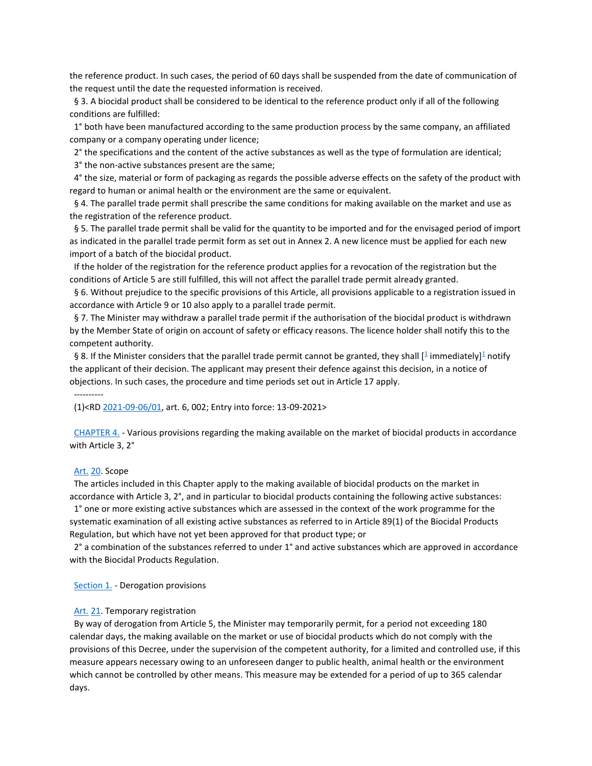the reference product. In such cases, the period of 60 days shall be suspended from the date of communication of the request until the date the requested information is received.

 § 3. A biocidal product shall be considered to be identical to the reference product only if all of the following conditions are fulfilled:

 1° both have been manufactured according to the same production process by the same company, an affiliated company or a company operating under licence;

2° the specifications and the content of the active substances as well as the type of formulation are identical;

3° the non-active substances present are the same;

 4° the size, material or form of packaging as regards the possible adverse effects on the safety of the product with regard to human or animal health or the environment are the same or equivalent.

 § 4. The parallel trade permit shall prescribe the same conditions for making available on the market and use as the registration of the reference product.

 § 5. The parallel trade permit shall be valid for the quantity to be imported and for the envisaged period of import as indicated in the parallel trade permit form as set out in Annex 2. A new licence must be applied for each new import of a batch of the biocidal product.

 If the holder of the registration for the reference product applies for a revocation of the registration but the conditions of Article 5 are still fulfilled, this will not affect the parallel trade permit already granted.

 § 6. Without prejudice to the specific provisions of this Article, all provisions applicable to a registration issued in accordance with Article 9 or 10 also apply to a parallel trade permit.

 § 7. The Minister may withdraw a parallel trade permit if the authorisation of the biocidal product is withdrawn by the Member State of origin on account of safety or efficacy reasons. The licence holder shall notify this to the competent authority.

§ 8. If the Minister considers that the parallel trade permit cannot be granted, they shall [<sup>[1](http://www.ejustice.just.fgov.be/cgi_loi/loi_a1.pl?DETAIL=2019040431%2FN&caller=list&row_id=1&numero=6&rech=7&cn=2019040431&table_name=WET&nm=2019011845&la=N&chercher=t&dt=KONINKLIJK+BESLUIT&language=nl&choix1=EN&choix2=EN&fromtab=wet_all&nl=n&sql=dt+contains++%27KONINKLIJK%27%2526+%27BESLUIT%27+and+dd+%3D+date%272019-04-04%27and+actif+%3D+%27Y%27&ddda=2019&tri=dd+AS+RANK+&trier=afkondiging&dddj=04&dddm=04&imgcn.x=41&imgcn.y=9#t)</sup> immediately[\]](http://www.ejustice.just.fgov.be/cgi_loi/loi_a1.pl?DETAIL=2019040431%2FN&caller=list&row_id=1&numero=6&rech=7&cn=2019040431&table_name=WET&nm=2019011845&la=N&chercher=t&dt=KONINKLIJK+BESLUIT&language=nl&choix1=EN&choix2=EN&fromtab=wet_all&nl=n&sql=dt+contains++%27KONINKLIJK%27%2526+%27BESLUIT%27+and+dd+%3D+date%272019-04-04%27and+actif+%3D+%27Y%27&ddda=2019&tri=dd+AS+RANK+&trier=afkondiging&dddj=04&dddm=04&imgcn.x=41&imgcn.y=9#t)<sup>1</sup> notify the applicant of their decision. The applicant may present their defence against this decision, in a notice of objections. In such cases, the procedure and time periods set out in Article 17 apply.

----------

(1)<R[D 2021-09-06/01,](http://www.ejustice.just.fgov.be/cgi_loi/change_lg.pl?language=nl&la=N&table_name=wet&cn=2021090601) art. 6, 002; Entry into force: 13-09-2021>

 [CHAPTER 4.](http://www.ejustice.just.fgov.be/cgi_loi/loi_a1.pl?DETAIL=2019040431%2FN&caller=list&row_id=1&numero=6&rech=7&cn=2019040431&table_name=WET&nm=2019011845&la=N&chercher=t&dt=KONINKLIJK+BESLUIT&language=nl&choix1=EN&choix2=EN&fromtab=wet_all&nl=n&sql=dt+contains++%27KONINKLIJK%27%2526+%27BESLUIT%27+and+dd+%3D+date%272019-04-04%27and+actif+%3D+%27Y%27&ddda=2019&tri=dd+AS+RANK+&trier=afkondiging&dddj=04&dddm=04&imgcn.x=41&imgcn.y=9#LNKR0006) - Various provisions regarding the making available on the market of biocidal products in accordance with Article 3, 2°

#### [Art.](http://www.ejustice.just.fgov.be/cgi_loi/loi_a1.pl?DETAIL=2019040431%2FN&caller=list&row_id=1&numero=6&rech=7&cn=2019040431&table_name=WET&nm=2019011845&la=N&chercher=t&dt=KONINKLIJK+BESLUIT&language=nl&choix1=EN&choix2=EN&fromtab=wet_all&nl=n&sql=dt+contains++%27KONINKLIJK%27%2526+%27BESLUIT%27+and+dd+%3D+date%272019-04-04%27and+actif+%3D+%27Y%27&ddda=2019&tri=dd+AS+RANK+&trier=afkondiging&dddj=04&dddm=04&imgcn.x=41&imgcn.y=9#Art.19) [20.](http://www.ejustice.just.fgov.be/cgi_loi/loi_a1.pl?DETAIL=2019040431%2FN&caller=list&row_id=1&numero=6&rech=7&cn=2019040431&table_name=WET&nm=2019011845&la=N&chercher=t&dt=KONINKLIJK+BESLUIT&language=nl&choix1=EN&choix2=EN&fromtab=wet_all&nl=n&sql=dt+contains++%27KONINKLIJK%27%2526+%27BESLUIT%27+and+dd+%3D+date%272019-04-04%27and+actif+%3D+%27Y%27&ddda=2019&tri=dd+AS+RANK+&trier=afkondiging&dddj=04&dddm=04&imgcn.x=41&imgcn.y=9#LNK0007) Scope

 The articles included in this Chapter apply to the making available of biocidal products on the market in accordance with Article 3, 2°, and in particular to biocidal products containing the following active substances:

 1° one or more existing active substances which are assessed in the context of the work programme for the systematic examination of all existing active substances as referred to in Article 89(1) of the Biocidal Products Regulation, but which have not yet been approved for that product type; or

 2° a combination of the substances referred to under 1° and active substances which are approved in accordance with the Biocidal Products Regulation.

Section 1. - Derogation provisions

### Art. [21.](http://www.ejustice.just.fgov.be/cgi_loi/loi_a1.pl?DETAIL=2019040431%2FN&caller=list&row_id=1&numero=6&rech=7&cn=2019040431&table_name=WET&nm=2019011845&la=N&chercher=t&dt=KONINKLIJK+BESLUIT&language=nl&choix1=EN&choix2=EN&fromtab=wet_all&nl=n&sql=dt+contains++%27KONINKLIJK%27%2526+%27BESLUIT%27+and+dd+%3D+date%272019-04-04%27and+actif+%3D+%27Y%27&ddda=2019&tri=dd+AS+RANK+&trier=afkondiging&dddj=04&dddm=04&imgcn.x=41&imgcn.y=9#LNK0008) Temporary registration

 By way of derogation from Article 5, the Minister may temporarily permit, for a period not exceeding 180 calendar days, the making available on the market or use of biocidal products which do not comply with the provisions of this Decree, under the supervision of the competent authority, for a limited and controlled use, if this measure appears necessary owing to an unforeseen danger to public health, animal health or the environment which cannot be controlled by other means. This measure may be extended for a period of up to 365 calendar days.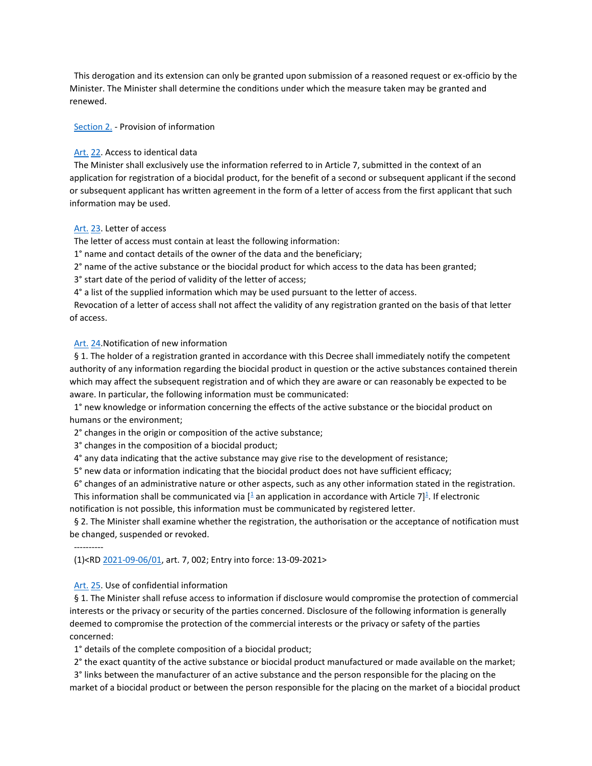This derogation and its extension can only be granted upon submission of a reasoned request or ex-officio by the Minister. The Minister shall determine the conditions under which the measure taken may be granted and renewed.

Section 2. - Provision of information

#### [Art.](http://www.ejustice.just.fgov.be/cgi_loi/loi_a1.pl?DETAIL=2019040431%2FN&caller=list&row_id=1&numero=6&rech=7&cn=2019040431&table_name=WET&nm=2019011845&la=N&chercher=t&dt=KONINKLIJK+BESLUIT&language=nl&choix1=EN&choix2=EN&fromtab=wet_all&nl=n&sql=dt+contains++%27KONINKLIJK%27%2526+%27BESLUIT%27+and+dd+%3D+date%272019-04-04%27and+actif+%3D+%27Y%27&ddda=2019&tri=dd+AS+RANK+&trier=afkondiging&dddj=04&dddm=04&imgcn.x=41&imgcn.y=9#Art.21) [22.](http://www.ejustice.just.fgov.be/cgi_loi/loi_a1.pl?DETAIL=2019040431%2FN&caller=list&row_id=1&numero=6&rech=7&cn=2019040431&table_name=WET&nm=2019011845&la=N&chercher=t&dt=KONINKLIJK+BESLUIT&language=nl&choix1=EN&choix2=EN&fromtab=wet_all&nl=n&sql=dt+contains++%27KONINKLIJK%27%2526+%27BESLUIT%27+and+dd+%3D+date%272019-04-04%27and+actif+%3D+%27Y%27&ddda=2019&tri=dd+AS+RANK+&trier=afkondiging&dddj=04&dddm=04&imgcn.x=41&imgcn.y=9#Art.23) Access to identical data

 The Minister shall exclusively use the information referred to in Article 7, submitted in the context of an application for registration of a biocidal product, for the benefit of a second or subsequent applicant if the second or subsequent applicant has written agreement in the form of a letter of access from the first applicant that such information may be used.

#### [Art.](http://www.ejustice.just.fgov.be/cgi_loi/loi_a1.pl?DETAIL=2019040431%2FN&caller=list&row_id=1&numero=6&rech=7&cn=2019040431&table_name=WET&nm=2019011845&la=N&chercher=t&dt=KONINKLIJK+BESLUIT&language=nl&choix1=EN&choix2=EN&fromtab=wet_all&nl=n&sql=dt+contains++%27KONINKLIJK%27%2526+%27BESLUIT%27+and+dd+%3D+date%272019-04-04%27and+actif+%3D+%27Y%27&ddda=2019&tri=dd+AS+RANK+&trier=afkondiging&dddj=04&dddm=04&imgcn.x=41&imgcn.y=9#Art.22) [23.](http://www.ejustice.just.fgov.be/cgi_loi/loi_a1.pl?DETAIL=2019040431%2FN&caller=list&row_id=1&numero=6&rech=7&cn=2019040431&table_name=WET&nm=2019011845&la=N&chercher=t&dt=KONINKLIJK+BESLUIT&language=nl&choix1=EN&choix2=EN&fromtab=wet_all&nl=n&sql=dt+contains++%27KONINKLIJK%27%2526+%27BESLUIT%27+and+dd+%3D+date%272019-04-04%27and+actif+%3D+%27Y%27&ddda=2019&tri=dd+AS+RANK+&trier=afkondiging&dddj=04&dddm=04&imgcn.x=41&imgcn.y=9#Art.24) Letter of access

The letter of access must contain at least the following information:

1° name and contact details of the owner of the data and the beneficiary;

2° name of the active substance or the biocidal product for which access to the data has been granted;

3° start date of the period of validity of the letter of access;

4° a list of the supplied information which may be used pursuant to the letter of access.

 Revocation of a letter of access shall not affect the validity of any registration granted on the basis of that letter of access.

#### [Art.](http://www.ejustice.just.fgov.be/cgi_loi/loi_a1.pl?DETAIL=2019040431%2FN&caller=list&row_id=1&numero=6&rech=7&cn=2019040431&table_name=WET&nm=2019011845&la=N&chercher=t&dt=KONINKLIJK+BESLUIT&language=nl&choix1=EN&choix2=EN&fromtab=wet_all&nl=n&sql=dt+contains++%27KONINKLIJK%27%2526+%27BESLUIT%27+and+dd+%3D+date%272019-04-04%27and+actif+%3D+%27Y%27&ddda=2019&tri=dd+AS+RANK+&trier=afkondiging&dddj=04&dddm=04&imgcn.x=41&imgcn.y=9#Art.23) [24.](http://www.ejustice.just.fgov.be/cgi_loi/loi_a1.pl?DETAIL=2019040431%2FN&caller=list&row_id=1&numero=6&rech=7&cn=2019040431&table_name=WET&nm=2019011845&la=N&chercher=t&dt=KONINKLIJK+BESLUIT&language=nl&choix1=EN&choix2=EN&fromtab=wet_all&nl=n&sql=dt+contains++%27KONINKLIJK%27%2526+%27BESLUIT%27+and+dd+%3D+date%272019-04-04%27and+actif+%3D+%27Y%27&ddda=2019&tri=dd+AS+RANK+&trier=afkondiging&dddj=04&dddm=04&imgcn.x=41&imgcn.y=9#Art.25)Notification of new information

 § 1. The holder of a registration granted in accordance with this Decree shall immediately notify the competent authority of any information regarding the biocidal product in question or the active substances contained therein which may affect the subsequent registration and of which they are aware or can reasonably be expected to be aware. In particular, the following information must be communicated:

 1° new knowledge or information concerning the effects of the active substance or the biocidal product on humans or the environment;

2° changes in the origin or composition of the active substance;

3° changes in the composition of a biocidal product;

4° any data indicating that the active substance may give rise to the development of resistance;

5° new data or information indicating that the biocidal product does not have sufficient efficacy;

6° changes of an administrative nature or other aspects, such as any other information stated in the registration.

This information shall be communicated via  $[1]$  $[1]$  $[1]$  an application in accordance with Article 7 $]$ <sup>1</sup>. If electronic notification is not possible, this information must be communicated by registered letter.

 § 2. The Minister shall examine whether the registration, the authorisation or the acceptance of notification must be changed, suspended or revoked.

----------

(1)<R[D 2021-09-06/01,](http://www.ejustice.just.fgov.be/cgi_loi/change_lg.pl?language=nl&la=N&table_name=wet&cn=2021090601) art. 7, 002; Entry into force: 13-09-2021>

### [Art.](http://www.ejustice.just.fgov.be/cgi_loi/loi_a1.pl?DETAIL=2019040431%2FN&caller=list&row_id=1&numero=6&rech=7&cn=2019040431&table_name=WET&nm=2019011845&la=N&chercher=t&dt=KONINKLIJK+BESLUIT&language=nl&choix1=EN&choix2=EN&fromtab=wet_all&nl=n&sql=dt+contains++%27KONINKLIJK%27%2526+%27BESLUIT%27+and+dd+%3D+date%272019-04-04%27and+actif+%3D+%27Y%27&ddda=2019&tri=dd+AS+RANK+&trier=afkondiging&dddj=04&dddm=04&imgcn.x=41&imgcn.y=9#Art.24) [25.](http://www.ejustice.just.fgov.be/cgi_loi/loi_a1.pl?DETAIL=2019040431%2FN&caller=list&row_id=1&numero=6&rech=7&cn=2019040431&table_name=WET&nm=2019011845&la=N&chercher=t&dt=KONINKLIJK+BESLUIT&language=nl&choix1=EN&choix2=EN&fromtab=wet_all&nl=n&sql=dt+contains++%27KONINKLIJK%27%2526+%27BESLUIT%27+and+dd+%3D+date%272019-04-04%27and+actif+%3D+%27Y%27&ddda=2019&tri=dd+AS+RANK+&trier=afkondiging&dddj=04&dddm=04&imgcn.x=41&imgcn.y=9#Art.26) Use of confidential information

 § 1. The Minister shall refuse access to information if disclosure would compromise the protection of commercial interests or the privacy or security of the parties concerned. Disclosure of the following information is generally deemed to compromise the protection of the commercial interests or the privacy or safety of the parties concerned:

1° details of the complete composition of a biocidal product;

2° the exact quantity of the active substance or biocidal product manufactured or made available on the market;

 3° links between the manufacturer of an active substance and the person responsible for the placing on the market of a biocidal product or between the person responsible for the placing on the market of a biocidal product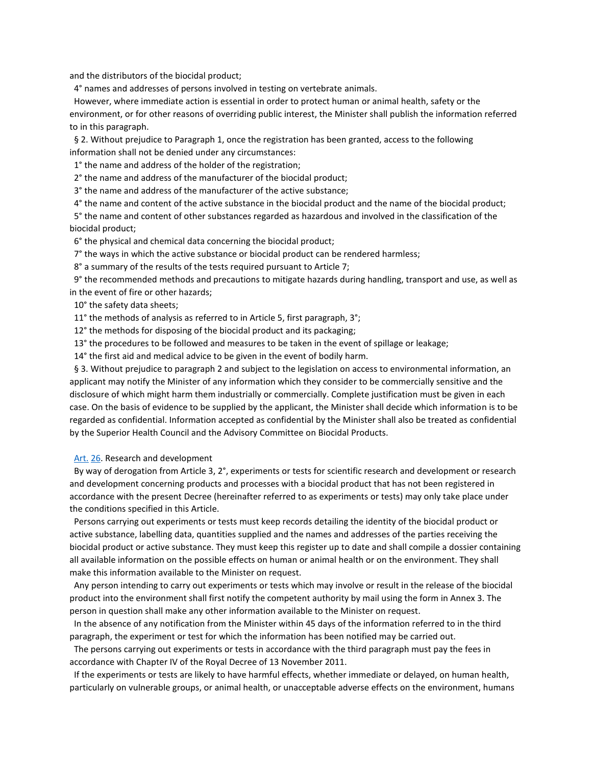and the distributors of the biocidal product;

4° names and addresses of persons involved in testing on vertebrate animals.

 However, where immediate action is essential in order to protect human or animal health, safety or the environment, or for other reasons of overriding public interest, the Minister shall publish the information referred to in this paragraph.

 § 2. Without prejudice to Paragraph 1, once the registration has been granted, access to the following information shall not be denied under any circumstances:

1° the name and address of the holder of the registration;

2° the name and address of the manufacturer of the biocidal product;

3° the name and address of the manufacturer of the active substance;

4° the name and content of the active substance in the biocidal product and the name of the biocidal product;

 5° the name and content of other substances regarded as hazardous and involved in the classification of the biocidal product;

6° the physical and chemical data concerning the biocidal product;

7° the ways in which the active substance or biocidal product can be rendered harmless;

8° a summary of the results of the tests required pursuant to Article 7;

 9° the recommended methods and precautions to mitigate hazards during handling, transport and use, as well as in the event of fire or other hazards;

10° the safety data sheets;

11° the methods of analysis as referred to in Article 5, first paragraph, 3°;

12° the methods for disposing of the biocidal product and its packaging;

13° the procedures to be followed and measures to be taken in the event of spillage or leakage;

14° the first aid and medical advice to be given in the event of bodily harm.

 § 3. Without prejudice to paragraph 2 and subject to the legislation on access to environmental information, an applicant may notify the Minister of any information which they consider to be commercially sensitive and the disclosure of which might harm them industrially or commercially. Complete justification must be given in each case. On the basis of evidence to be supplied by the applicant, the Minister shall decide which information is to be regarded as confidential. Information accepted as confidential by the Minister shall also be treated as confidential by the Superior Health Council and the Advisory Committee on Biocidal Products.

## Art. [26.](http://www.ejustice.just.fgov.be/cgi_loi/loi_a1.pl?DETAIL=2019040431%2FN&caller=list&row_id=1&numero=6&rech=7&cn=2019040431&table_name=WET&nm=2019011845&la=N&chercher=t&dt=KONINKLIJK+BESLUIT&language=nl&choix1=EN&choix2=EN&fromtab=wet_all&nl=n&sql=dt+contains++%27KONINKLIJK%27%2526+%27BESLUIT%27+and+dd+%3D+date%272019-04-04%27and+actif+%3D+%27Y%27&ddda=2019&tri=dd+AS+RANK+&trier=afkondiging&dddj=04&dddm=04&imgcn.x=41&imgcn.y=9#LNK0009) Research and development

 By way of derogation from Article 3, 2°, experiments or tests for scientific research and development or research and development concerning products and processes with a biocidal product that has not been registered in accordance with the present Decree (hereinafter referred to as experiments or tests) may only take place under the conditions specified in this Article.

 Persons carrying out experiments or tests must keep records detailing the identity of the biocidal product or active substance, labelling data, quantities supplied and the names and addresses of the parties receiving the biocidal product or active substance. They must keep this register up to date and shall compile a dossier containing all available information on the possible effects on human or animal health or on the environment. They shall make this information available to the Minister on request.

 Any person intending to carry out experiments or tests which may involve or result in the release of the biocidal product into the environment shall first notify the competent authority by mail using the form in Annex 3. The person in question shall make any other information available to the Minister on request.

 In the absence of any notification from the Minister within 45 days of the information referred to in the third paragraph, the experiment or test for which the information has been notified may be carried out.

 The persons carrying out experiments or tests in accordance with the third paragraph must pay the fees in accordance with Chapter IV of the Royal Decree of 13 November 2011.

 If the experiments or tests are likely to have harmful effects, whether immediate or delayed, on human health, particularly on vulnerable groups, or animal health, or unacceptable adverse effects on the environment, humans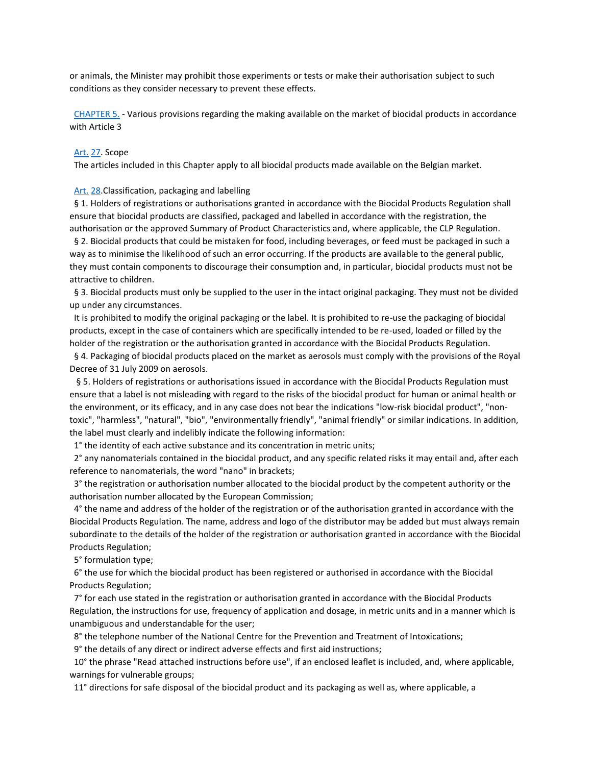or animals, the Minister may prohibit those experiments or tests or make their authorisation subject to such conditions as they consider necessary to prevent these effects.

 [CHAPTER 5.](http://www.ejustice.just.fgov.be/cgi_loi/loi_a1.pl?DETAIL=2019040431%2FN&caller=list&row_id=1&numero=6&rech=7&cn=2019040431&table_name=WET&nm=2019011845&la=N&chercher=t&dt=KONINKLIJK+BESLUIT&language=nl&choix1=EN&choix2=EN&fromtab=wet_all&nl=n&sql=dt+contains++%27KONINKLIJK%27%2526+%27BESLUIT%27+and+dd+%3D+date%272019-04-04%27and+actif+%3D+%27Y%27&ddda=2019&tri=dd+AS+RANK+&trier=afkondiging&dddj=04&dddm=04&imgcn.x=41&imgcn.y=9#LNKR0009) - Various provisions regarding the making available on the market of biocidal products in accordance with Article 3

#### [Art.](http://www.ejustice.just.fgov.be/cgi_loi/loi_a1.pl?DETAIL=2019040431%2FN&caller=list&row_id=1&numero=6&rech=7&cn=2019040431&table_name=WET&nm=2019011845&la=N&chercher=t&dt=KONINKLIJK+BESLUIT&language=nl&choix1=EN&choix2=EN&fromtab=wet_all&nl=n&sql=dt+contains++%27KONINKLIJK%27%2526+%27BESLUIT%27+and+dd+%3D+date%272019-04-04%27and+actif+%3D+%27Y%27&ddda=2019&tri=dd+AS+RANK+&trier=afkondiging&dddj=04&dddm=04&imgcn.x=41&imgcn.y=9#Art.26) [27.](http://www.ejustice.just.fgov.be/cgi_loi/loi_a1.pl?DETAIL=2019040431%2FN&caller=list&row_id=1&numero=6&rech=7&cn=2019040431&table_name=WET&nm=2019011845&la=N&chercher=t&dt=KONINKLIJK+BESLUIT&language=nl&choix1=EN&choix2=EN&fromtab=wet_all&nl=n&sql=dt+contains++%27KONINKLIJK%27%2526+%27BESLUIT%27+and+dd+%3D+date%272019-04-04%27and+actif+%3D+%27Y%27&ddda=2019&tri=dd+AS+RANK+&trier=afkondiging&dddj=04&dddm=04&imgcn.x=41&imgcn.y=9#Art.28) Scope

The articles included in this Chapter apply to all biocidal products made available on the Belgian market.

### Art. [28.](http://www.ejustice.just.fgov.be/cgi_loi/loi_a1.pl?DETAIL=2019040431%2FN&caller=list&row_id=1&numero=6&rech=7&cn=2019040431&table_name=WET&nm=2019011845&la=N&chercher=t&dt=KONINKLIJK+BESLUIT&language=nl&choix1=EN&choix2=EN&fromtab=wet_all&nl=n&sql=dt+contains++%27KONINKLIJK%27%2526+%27BESLUIT%27+and+dd+%3D+date%272019-04-04%27and+actif+%3D+%27Y%27&ddda=2019&tri=dd+AS+RANK+&trier=afkondiging&dddj=04&dddm=04&imgcn.x=41&imgcn.y=9#Art.29) Classification, packaging and labelling

 § 1. Holders of registrations or authorisations granted in accordance with the Biocidal Products Regulation shall ensure that biocidal products are classified, packaged and labelled in accordance with the registration, the authorisation or the approved Summary of Product Characteristics and, where applicable, the CLP Regulation.

 § 2. Biocidal products that could be mistaken for food, including beverages, or feed must be packaged in such a way as to minimise the likelihood of such an error occurring. If the products are available to the general public, they must contain components to discourage their consumption and, in particular, biocidal products must not be attractive to children.

§ 3. Biocidal products must only be supplied to the user in the intact original packaging. They must not be divided up under any circumstances.

 It is prohibited to modify the original packaging or the label. It is prohibited to re-use the packaging of biocidal products, except in the case of containers which are specifically intended to be re-used, loaded or filled by the holder of the registration or the authorisation granted in accordance with the Biocidal Products Regulation.

 § 4. Packaging of biocidal products placed on the market as aerosols must comply with the provisions of the Royal Decree of 31 July 2009 on aerosols.

 § 5. Holders of registrations or authorisations issued in accordance with the Biocidal Products Regulation must ensure that a label is not misleading with regard to the risks of the biocidal product for human or animal health or the environment, or its efficacy, and in any case does not bear the indications "low-risk biocidal product", "nontoxic", "harmless", "natural", "bio", "environmentally friendly", "animal friendly" or similar indications. In addition, the label must clearly and indelibly indicate the following information:

1° the identity of each active substance and its concentration in metric units;

 2° any nanomaterials contained in the biocidal product, and any specific related risks it may entail and, after each reference to nanomaterials, the word "nano" in brackets;

 3° the registration or authorisation number allocated to the biocidal product by the competent authority or the authorisation number allocated by the European Commission;

 4° the name and address of the holder of the registration or of the authorisation granted in accordance with the Biocidal Products Regulation. The name, address and logo of the distributor may be added but must always remain subordinate to the details of the holder of the registration or authorisation granted in accordance with the Biocidal Products Regulation;

5° formulation type;

 6° the use for which the biocidal product has been registered or authorised in accordance with the Biocidal Products Regulation;

 7° for each use stated in the registration or authorisation granted in accordance with the Biocidal Products Regulation, the instructions for use, frequency of application and dosage, in metric units and in a manner which is unambiguous and understandable for the user;

8° the telephone number of the National Centre for the Prevention and Treatment of Intoxications;

9° the details of any direct or indirect adverse effects and first aid instructions;

 10° the phrase "Read attached instructions before use", if an enclosed leaflet is included, and, where applicable, warnings for vulnerable groups;

11° directions for safe disposal of the biocidal product and its packaging as well as, where applicable, a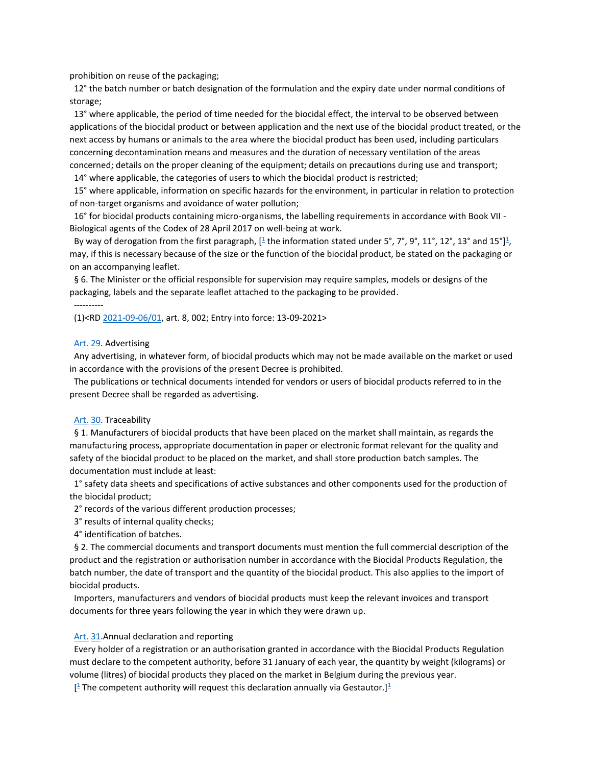prohibition on reuse of the packaging;

 12° the batch number or batch designation of the formulation and the expiry date under normal conditions of storage;

 13° where applicable, the period of time needed for the biocidal effect, the interval to be observed between applications of the biocidal product or between application and the next use of the biocidal product treated, or the next access by humans or animals to the area where the biocidal product has been used, including particulars concerning decontamination means and measures and the duration of necessary ventilation of the areas concerned; details on the proper cleaning of the equipment; details on precautions during use and transport;

14° where applicable, the categories of users to which the biocidal product is restricted;

 15° where applicable, information on specific hazards for the environment, in particular in relation to protection of non-target organisms and avoidance of water pollution;

 16° for biocidal products containing micro-organisms, the labelling requirements in accordance with Book VII - Biological agents of the Codex of 28 April 2017 on well-being at work.

By way of derogation from the first paragraph[,](http://www.ejustice.just.fgov.be/cgi_loi/loi_a1.pl?DETAIL=2019040431%2FN&caller=list&row_id=1&numero=6&rech=7&cn=2019040431&table_name=WET&nm=2019011845&la=N&chercher=t&dt=KONINKLIJK+BESLUIT&language=nl&choix1=EN&choix2=EN&fromtab=wet_all&nl=n&sql=dt+contains++%27KONINKLIJK%27%2526+%27BESLUIT%27+and+dd+%3D+date%272019-04-04%27and+actif+%3D+%27Y%27&ddda=2019&tri=dd+AS+RANK+&trier=afkondiging&dddj=04&dddm=04&imgcn.x=41&imgcn.y=9#t)  $[1$  $[1$  the information stated under 5°, 7°, 9°, 11°, 12°, 13° and 15°]<sup>1</sup>, may, if this is necessary because of the size or the function of the biocidal product, be stated on the packaging or on an accompanying leaflet.

 § 6. The Minister or the official responsible for supervision may require samples, models or designs of the packaging, labels and the separate leaflet attached to the packaging to be provided.

(1)<R[D 2021-09-06/01,](http://www.ejustice.just.fgov.be/cgi_loi/change_lg.pl?language=nl&la=N&table_name=wet&cn=2021090601) art. 8, 002; Entry into force: 13-09-2021>

#### [Art.](http://www.ejustice.just.fgov.be/cgi_loi/loi_a1.pl?DETAIL=2019040431%2FN&caller=list&row_id=1&numero=6&rech=7&cn=2019040431&table_name=WET&nm=2019011845&la=N&chercher=t&dt=KONINKLIJK+BESLUIT&language=nl&choix1=EN&choix2=EN&fromtab=wet_all&nl=n&sql=dt+contains++%27KONINKLIJK%27%2526+%27BESLUIT%27+and+dd+%3D+date%272019-04-04%27and+actif+%3D+%27Y%27&ddda=2019&tri=dd+AS+RANK+&trier=afkondiging&dddj=04&dddm=04&imgcn.x=41&imgcn.y=9#Art.28) [29.](http://www.ejustice.just.fgov.be/cgi_loi/loi_a1.pl?DETAIL=2019040431%2FN&caller=list&row_id=1&numero=6&rech=7&cn=2019040431&table_name=WET&nm=2019011845&la=N&chercher=t&dt=KONINKLIJK+BESLUIT&language=nl&choix1=EN&choix2=EN&fromtab=wet_all&nl=n&sql=dt+contains++%27KONINKLIJK%27%2526+%27BESLUIT%27+and+dd+%3D+date%272019-04-04%27and+actif+%3D+%27Y%27&ddda=2019&tri=dd+AS+RANK+&trier=afkondiging&dddj=04&dddm=04&imgcn.x=41&imgcn.y=9#Art.30) Advertising

----------

 Any advertising, in whatever form, of biocidal products which may not be made available on the market or used in accordance with the provisions of the present Decree is prohibited.

 The publications or technical documents intended for vendors or users of biocidal products referred to in the present Decree shall be regarded as advertising.

#### [Art.](http://www.ejustice.just.fgov.be/cgi_loi/loi_a1.pl?DETAIL=2019040431%2FN&caller=list&row_id=1&numero=6&rech=7&cn=2019040431&table_name=WET&nm=2019011845&la=N&chercher=t&dt=KONINKLIJK+BESLUIT&language=nl&choix1=EN&choix2=EN&fromtab=wet_all&nl=n&sql=dt+contains++%27KONINKLIJK%27%2526+%27BESLUIT%27+and+dd+%3D+date%272019-04-04%27and+actif+%3D+%27Y%27&ddda=2019&tri=dd+AS+RANK+&trier=afkondiging&dddj=04&dddm=04&imgcn.x=41&imgcn.y=9#Art.29) [30.](http://www.ejustice.just.fgov.be/cgi_loi/loi_a1.pl?DETAIL=2019040431%2FN&caller=list&row_id=1&numero=6&rech=7&cn=2019040431&table_name=WET&nm=2019011845&la=N&chercher=t&dt=KONINKLIJK+BESLUIT&language=nl&choix1=EN&choix2=EN&fromtab=wet_all&nl=n&sql=dt+contains++%27KONINKLIJK%27%2526+%27BESLUIT%27+and+dd+%3D+date%272019-04-04%27and+actif+%3D+%27Y%27&ddda=2019&tri=dd+AS+RANK+&trier=afkondiging&dddj=04&dddm=04&imgcn.x=41&imgcn.y=9#Art.31) Traceability

 § 1. Manufacturers of biocidal products that have been placed on the market shall maintain, as regards the manufacturing process, appropriate documentation in paper or electronic format relevant for the quality and safety of the biocidal product to be placed on the market, and shall store production batch samples. The documentation must include at least:

 1° safety data sheets and specifications of active substances and other components used for the production of the biocidal product;

2° records of the various different production processes;

3° results of internal quality checks;

4° identification of batches.

 § 2. The commercial documents and transport documents must mention the full commercial description of the product and the registration or authorisation number in accordance with the Biocidal Products Regulation, the batch number, the date of transport and the quantity of the biocidal product. This also applies to the import of biocidal products.

 Importers, manufacturers and vendors of biocidal products must keep the relevant invoices and transport documents for three years following the year in which they were drawn up.

### Art. [31.](http://www.ejustice.just.fgov.be/cgi_loi/loi_a1.pl?DETAIL=2019040431%2FN&caller=list&row_id=1&numero=6&rech=7&cn=2019040431&table_name=WET&nm=2019011845&la=N&chercher=t&dt=KONINKLIJK+BESLUIT&language=nl&choix1=EN&choix2=EN&fromtab=wet_all&nl=n&sql=dt+contains++%27KONINKLIJK%27%2526+%27BESLUIT%27+and+dd+%3D+date%272019-04-04%27and+actif+%3D+%27Y%27&ddda=2019&tri=dd+AS+RANK+&trier=afkondiging&dddj=04&dddm=04&imgcn.x=41&imgcn.y=9#Art.32) Annual declaration and reporting

 Every holder of a registration or an authorisation granted in accordance with the Biocidal Products Regulation must declare to the competent authority, before 31 January of each year, the quantity by weight (kilograms) or volume (litres) of biocidal products they placed on the market in Belgium during the previous year.

 $[$ <sup>[1](http://www.ejustice.just.fgov.be/cgi_loi/loi_a1.pl?DETAIL=2019040431%2FN&caller=list&row_id=1&numero=6&rech=7&cn=2019040431&table_name=WET&nm=2019011845&la=N&chercher=t&dt=KONINKLIJK+BESLUIT&language=nl&choix1=EN&choix2=EN&fromtab=wet_all&nl=n&sql=dt+contains++%27KONINKLIJK%27%2526+%27BESLUIT%27+and+dd+%3D+date%272019-04-04%27and+actif+%3D+%27Y%27&ddda=2019&tri=dd+AS+RANK+&trier=afkondiging&dddj=04&dddm=04&imgcn.x=41&imgcn.y=9#t)</sup> The competent authority will request this declaration annually via Gestautor.]<sup>1</sup>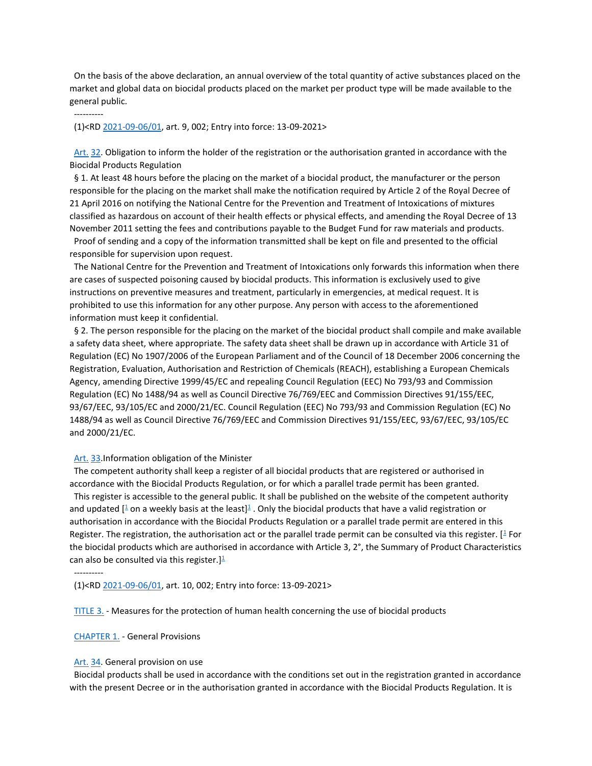On the basis of the above declaration, an annual overview of the total quantity of active substances placed on the market and global data on biocidal products placed on the market per product type will be made available to the general public.

----------

(1)<R[D 2021-09-06/01,](http://www.ejustice.just.fgov.be/cgi_loi/change_lg.pl?language=nl&la=N&table_name=wet&cn=2021090601) art. 9, 002; Entry into force: 13-09-2021>

Art. [32.](http://www.ejustice.just.fgov.be/cgi_loi/loi_a1.pl?DETAIL=2019040431%2FN&caller=list&row_id=1&numero=6&rech=7&cn=2019040431&table_name=WET&nm=2019011845&la=N&chercher=t&dt=KONINKLIJK+BESLUIT&language=nl&choix1=EN&choix2=EN&fromtab=wet_all&nl=n&sql=dt+contains++%27KONINKLIJK%27%2526+%27BESLUIT%27+and+dd+%3D+date%272019-04-04%27and+actif+%3D+%27Y%27&ddda=2019&tri=dd+AS+RANK+&trier=afkondiging&dddj=04&dddm=04&imgcn.x=41&imgcn.y=9#Art.33) Obligation to inform the holder of the registration or the authorisation granted in accordance with the Biocidal Products Regulation

 § 1. At least 48 hours before the placing on the market of a biocidal product, the manufacturer or the person responsible for the placing on the market shall make the notification required by Article 2 of the Royal Decree of 21 April 2016 on notifying the National Centre for the Prevention and Treatment of Intoxications of mixtures classified as hazardous on account of their health effects or physical effects, and amending the Royal Decree of 13 November 2011 setting the fees and contributions payable to the Budget Fund for raw materials and products.

 Proof of sending and a copy of the information transmitted shall be kept on file and presented to the official responsible for supervision upon request.

 The National Centre for the Prevention and Treatment of Intoxications only forwards this information when there are cases of suspected poisoning caused by biocidal products. This information is exclusively used to give instructions on preventive measures and treatment, particularly in emergencies, at medical request. It is prohibited to use this information for any other purpose. Any person with access to the aforementioned information must keep it confidential.

 § 2. The person responsible for the placing on the market of the biocidal product shall compile and make available a safety data sheet, where appropriate. The safety data sheet shall be drawn up in accordance with Article 31 of Regulation (EC) No 1907/2006 of the European Parliament and of the Council of 18 December 2006 concerning the Registration, Evaluation, Authorisation and Restriction of Chemicals (REACH), establishing a European Chemicals Agency, amending Directive 1999/45/EC and repealing Council Regulation (EEC) No 793/93 and Commission Regulation (EC) No 1488/94 as well as Council Directive 76/769/EEC and Commission Directives 91/155/EEC, 93/67/EEC, 93/105/EC and 2000/21/EC. Council Regulation (EEC) No 793/93 and Commission Regulation (EC) No 1488/94 as well as Council Directive 76/769/EEC and Commission Directives 91/155/EEC, 93/67/EEC, 93/105/EC and 2000/21/EC.

### Art. [33.](http://www.ejustice.just.fgov.be/cgi_loi/loi_a1.pl?DETAIL=2019040431%2FN&caller=list&row_id=1&numero=6&rech=7&cn=2019040431&table_name=WET&nm=2019011845&la=N&chercher=t&dt=KONINKLIJK+BESLUIT&language=nl&choix1=EN&choix2=EN&fromtab=wet_all&nl=n&sql=dt+contains++%27KONINKLIJK%27%2526+%27BESLUIT%27+and+dd+%3D+date%272019-04-04%27and+actif+%3D+%27Y%27&ddda=2019&tri=dd+AS+RANK+&trier=afkondiging&dddj=04&dddm=04&imgcn.x=41&imgcn.y=9#LNK0010) Information obligation of the Minister

 The competent authority shall keep a register of all biocidal products that are registered or authorised in accordance with the Biocidal Products Regulation, or for which a parallel trade permit has been granted.

 This register is accessible to the general public. It shall be published on the website of the competent authority and updated [ $1/2$  $1/2$  on a weekly basis at the least[\]](http://www.ejustice.just.fgov.be/cgi_loi/loi_a1.pl?DETAIL=2019040431%2FN&caller=list&row_id=1&numero=6&rech=7&cn=2019040431&table_name=WET&nm=2019011845&la=N&chercher=t&dt=KONINKLIJK+BESLUIT&language=nl&choix1=EN&choix2=EN&fromtab=wet_all&nl=n&sql=dt+contains++%27KONINKLIJK%27%2526+%27BESLUIT%27+and+dd+%3D+date%272019-04-04%27and+actif+%3D+%27Y%27&ddda=2019&tri=dd+AS+RANK+&trier=afkondiging&dddj=04&dddm=04&imgcn.x=41&imgcn.y=9#t) $1/2$  . Only the biocidal products that have a valid registration or authorisation in accordance with the Biocidal Products Regulation or a parallel trade permit are entered in this Register. The registration, the authorisation act or the parallel trade permit can be consulted via this register. [\[](http://www.ejustice.just.fgov.be/cgi_loi/loi_a1.pl?DETAIL=2019040431%2FN&caller=list&row_id=1&numero=6&rech=7&cn=2019040431&table_name=WET&nm=2019011845&la=N&chercher=t&dt=KONINKLIJK+BESLUIT&language=nl&choix1=EN&choix2=EN&fromtab=wet_all&nl=n&sql=dt+contains++%27KONINKLIJK%27%2526+%27BESLUIT%27+and+dd+%3D+date%272019-04-04%27and+actif+%3D+%27Y%27&ddda=2019&tri=dd+AS+RANK+&trier=afkondiging&dddj=04&dddm=04&imgcn.x=41&imgcn.y=9#t) $1$  For the biocidal products which are authorised in accordance with Article 3, 2°, the Summary of Product Characteristics can also be consulted via this register.  $]$ <sup>1</sup>

----------

(1)<R[D 2021-09-06/01,](http://www.ejustice.just.fgov.be/cgi_loi/change_lg.pl?language=nl&la=N&table_name=wet&cn=2021090601) art. 10, 002; Entry into force: 13-09-2021>

 [TITLE 3.](http://www.ejustice.just.fgov.be/cgi_loi/loi_a1.pl?DETAIL=2019040431%2FN&caller=list&row_id=1&numero=6&rech=7&cn=2019040431&table_name=WET&nm=2019011845&la=N&chercher=t&dt=KONINKLIJK+BESLUIT&language=nl&choix1=EN&choix2=EN&fromtab=wet_all&nl=n&sql=dt+contains++%27KONINKLIJK%27%2526+%27BESLUIT%27+and+dd+%3D+date%272019-04-04%27and+actif+%3D+%27Y%27&ddda=2019&tri=dd+AS+RANK+&trier=afkondiging&dddj=04&dddm=04&imgcn.x=41&imgcn.y=9#LNKR0010) - Measures for the protection of human health concerning the use of biocidal products

#### [CHAPTER 1.](http://www.ejustice.just.fgov.be/cgi_loi/loi_a1.pl?DETAIL=2019040431%2FN&caller=list&row_id=1&numero=6&rech=7&cn=2019040431&table_name=WET&nm=2019011845&la=N&chercher=t&dt=KONINKLIJK+BESLUIT&language=nl&choix1=EN&choix2=EN&fromtab=wet_all&nl=n&sql=dt+contains++%27KONINKLIJK%27%2526+%27BESLUIT%27+and+dd+%3D+date%272019-04-04%27and+actif+%3D+%27Y%27&ddda=2019&tri=dd+AS+RANK+&trier=afkondiging&dddj=04&dddm=04&imgcn.x=41&imgcn.y=9#LNKR0011) - General Provisions

#### [Art.](http://www.ejustice.just.fgov.be/cgi_loi/loi_a1.pl?DETAIL=2019040431%2FN&caller=list&row_id=1&numero=6&rech=7&cn=2019040431&table_name=WET&nm=2019011845&la=N&chercher=t&dt=KONINKLIJK+BESLUIT&language=nl&choix1=EN&choix2=EN&fromtab=wet_all&nl=n&sql=dt+contains++%27KONINKLIJK%27%2526+%27BESLUIT%27+and+dd+%3D+date%272019-04-04%27and+actif+%3D+%27Y%27&ddda=2019&tri=dd+AS+RANK+&trier=afkondiging&dddj=04&dddm=04&imgcn.x=41&imgcn.y=9#Art.33) [34.](http://www.ejustice.just.fgov.be/cgi_loi/loi_a1.pl?DETAIL=2019040431%2FN&caller=list&row_id=1&numero=6&rech=7&cn=2019040431&table_name=WET&nm=2019011845&la=N&chercher=t&dt=KONINKLIJK+BESLUIT&language=nl&choix1=EN&choix2=EN&fromtab=wet_all&nl=n&sql=dt+contains++%27KONINKLIJK%27%2526+%27BESLUIT%27+and+dd+%3D+date%272019-04-04%27and+actif+%3D+%27Y%27&ddda=2019&tri=dd+AS+RANK+&trier=afkondiging&dddj=04&dddm=04&imgcn.x=41&imgcn.y=9#Art.35) General provision on use

 Biocidal products shall be used in accordance with the conditions set out in the registration granted in accordance with the present Decree or in the authorisation granted in accordance with the Biocidal Products Regulation. It is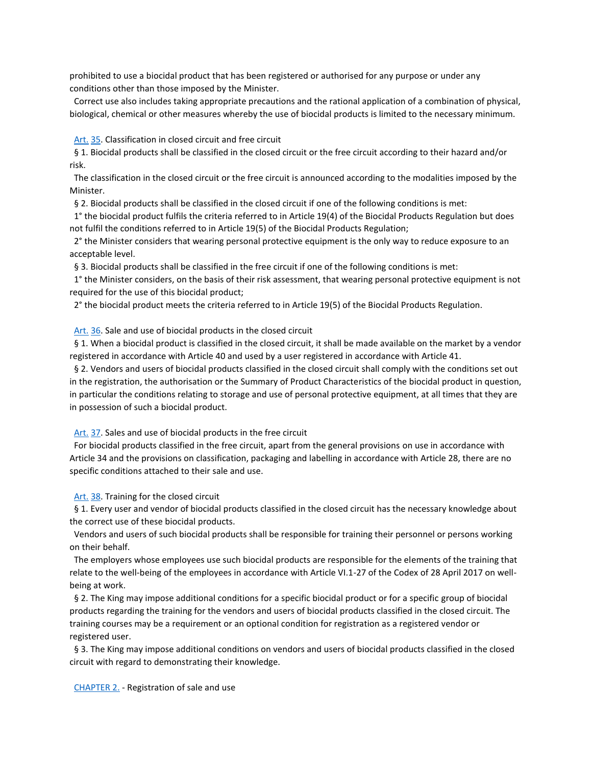prohibited to use a biocidal product that has been registered or authorised for any purpose or under any conditions other than those imposed by the Minister.

 Correct use also includes taking appropriate precautions and the rational application of a combination of physical, biological, chemical or other measures whereby the use of biocidal products is limited to the necessary minimum.

 [Art.](http://www.ejustice.just.fgov.be/cgi_loi/loi_a1.pl?DETAIL=2019040431%2FN&caller=list&row_id=1&numero=6&rech=7&cn=2019040431&table_name=WET&nm=2019011845&la=N&chercher=t&dt=KONINKLIJK+BESLUIT&language=nl&choix1=EN&choix2=EN&fromtab=wet_all&nl=n&sql=dt+contains++%27KONINKLIJK%27%2526+%27BESLUIT%27+and+dd+%3D+date%272019-04-04%27and+actif+%3D+%27Y%27&ddda=2019&tri=dd+AS+RANK+&trier=afkondiging&dddj=04&dddm=04&imgcn.x=41&imgcn.y=9#Art.34) [35.](http://www.ejustice.just.fgov.be/cgi_loi/loi_a1.pl?DETAIL=2019040431%2FN&caller=list&row_id=1&numero=6&rech=7&cn=2019040431&table_name=WET&nm=2019011845&la=N&chercher=t&dt=KONINKLIJK+BESLUIT&language=nl&choix1=EN&choix2=EN&fromtab=wet_all&nl=n&sql=dt+contains++%27KONINKLIJK%27%2526+%27BESLUIT%27+and+dd+%3D+date%272019-04-04%27and+actif+%3D+%27Y%27&ddda=2019&tri=dd+AS+RANK+&trier=afkondiging&dddj=04&dddm=04&imgcn.x=41&imgcn.y=9#Art.36) Classification in closed circuit and free circuit

 § 1. Biocidal products shall be classified in the closed circuit or the free circuit according to their hazard and/or risk.

 The classification in the closed circuit or the free circuit is announced according to the modalities imposed by the Minister.

§ 2. Biocidal products shall be classified in the closed circuit if one of the following conditions is met:

 1° the biocidal product fulfils the criteria referred to in Article 19(4) of the Biocidal Products Regulation but does not fulfil the conditions referred to in Article 19(5) of the Biocidal Products Regulation;

 2° the Minister considers that wearing personal protective equipment is the only way to reduce exposure to an acceptable level.

§ 3. Biocidal products shall be classified in the free circuit if one of the following conditions is met:

 1° the Minister considers, on the basis of their risk assessment, that wearing personal protective equipment is not required for the use of this biocidal product;

2° the biocidal product meets the criteria referred to in Article 19(5) of the Biocidal Products Regulation.

 [Art.](http://www.ejustice.just.fgov.be/cgi_loi/loi_a1.pl?DETAIL=2019040431%2FN&caller=list&row_id=1&numero=6&rech=7&cn=2019040431&table_name=WET&nm=2019011845&la=N&chercher=t&dt=KONINKLIJK+BESLUIT&language=nl&choix1=EN&choix2=EN&fromtab=wet_all&nl=n&sql=dt+contains++%27KONINKLIJK%27%2526+%27BESLUIT%27+and+dd+%3D+date%272019-04-04%27and+actif+%3D+%27Y%27&ddda=2019&tri=dd+AS+RANK+&trier=afkondiging&dddj=04&dddm=04&imgcn.x=41&imgcn.y=9#Art.35) [36.](http://www.ejustice.just.fgov.be/cgi_loi/loi_a1.pl?DETAIL=2019040431%2FN&caller=list&row_id=1&numero=6&rech=7&cn=2019040431&table_name=WET&nm=2019011845&la=N&chercher=t&dt=KONINKLIJK+BESLUIT&language=nl&choix1=EN&choix2=EN&fromtab=wet_all&nl=n&sql=dt+contains++%27KONINKLIJK%27%2526+%27BESLUIT%27+and+dd+%3D+date%272019-04-04%27and+actif+%3D+%27Y%27&ddda=2019&tri=dd+AS+RANK+&trier=afkondiging&dddj=04&dddm=04&imgcn.x=41&imgcn.y=9#Art.37) Sale and use of biocidal products in the closed circuit

 § 1. When a biocidal product is classified in the closed circuit, it shall be made available on the market by a vendor registered in accordance with Article 40 and used by a user registered in accordance with Article 41.

 § 2. Vendors and users of biocidal products classified in the closed circuit shall comply with the conditions set out in the registration, the authorisation or the Summary of Product Characteristics of the biocidal product in question, in particular the conditions relating to storage and use of personal protective equipment, at all times that they are in possession of such a biocidal product.

 [Art.](http://www.ejustice.just.fgov.be/cgi_loi/loi_a1.pl?DETAIL=2019040431%2FN&caller=list&row_id=1&numero=6&rech=7&cn=2019040431&table_name=WET&nm=2019011845&la=N&chercher=t&dt=KONINKLIJK+BESLUIT&language=nl&choix1=EN&choix2=EN&fromtab=wet_all&nl=n&sql=dt+contains++%27KONINKLIJK%27%2526+%27BESLUIT%27+and+dd+%3D+date%272019-04-04%27and+actif+%3D+%27Y%27&ddda=2019&tri=dd+AS+RANK+&trier=afkondiging&dddj=04&dddm=04&imgcn.x=41&imgcn.y=9#Art.36) [37.](http://www.ejustice.just.fgov.be/cgi_loi/loi_a1.pl?DETAIL=2019040431%2FN&caller=list&row_id=1&numero=6&rech=7&cn=2019040431&table_name=WET&nm=2019011845&la=N&chercher=t&dt=KONINKLIJK+BESLUIT&language=nl&choix1=EN&choix2=EN&fromtab=wet_all&nl=n&sql=dt+contains++%27KONINKLIJK%27%2526+%27BESLUIT%27+and+dd+%3D+date%272019-04-04%27and+actif+%3D+%27Y%27&ddda=2019&tri=dd+AS+RANK+&trier=afkondiging&dddj=04&dddm=04&imgcn.x=41&imgcn.y=9#Art.38) Sales and use of biocidal products in the free circuit

 For biocidal products classified in the free circuit, apart from the general provisions on use in accordance with Article 34 and the provisions on classification, packaging and labelling in accordance with Article 28, there are no specific conditions attached to their sale and use.

 [Art.](http://www.ejustice.just.fgov.be/cgi_loi/loi_a1.pl?DETAIL=2019040431%2FN&caller=list&row_id=1&numero=6&rech=7&cn=2019040431&table_name=WET&nm=2019011845&la=N&chercher=t&dt=KONINKLIJK+BESLUIT&language=nl&choix1=EN&choix2=EN&fromtab=wet_all&nl=n&sql=dt+contains++%27KONINKLIJK%27%2526+%27BESLUIT%27+and+dd+%3D+date%272019-04-04%27and+actif+%3D+%27Y%27&ddda=2019&tri=dd+AS+RANK+&trier=afkondiging&dddj=04&dddm=04&imgcn.x=41&imgcn.y=9#Art.37) [38.](http://www.ejustice.just.fgov.be/cgi_loi/loi_a1.pl?DETAIL=2019040431%2FN&caller=list&row_id=1&numero=6&rech=7&cn=2019040431&table_name=WET&nm=2019011845&la=N&chercher=t&dt=KONINKLIJK+BESLUIT&language=nl&choix1=EN&choix2=EN&fromtab=wet_all&nl=n&sql=dt+contains++%27KONINKLIJK%27%2526+%27BESLUIT%27+and+dd+%3D+date%272019-04-04%27and+actif+%3D+%27Y%27&ddda=2019&tri=dd+AS+RANK+&trier=afkondiging&dddj=04&dddm=04&imgcn.x=41&imgcn.y=9#LNK0012) Training for the closed circuit

§ 1. Every user and vendor of biocidal products classified in the closed circuit has the necessary knowledge about the correct use of these biocidal products.

 Vendors and users of such biocidal products shall be responsible for training their personnel or persons working on their behalf.

 The employers whose employees use such biocidal products are responsible for the elements of the training that relate to the well-being of the employees in accordance with Article VI.1-27 of the Codex of 28 April 2017 on wellbeing at work.

§ 2. The King may impose additional conditions for a specific biocidal product or for a specific group of biocidal products regarding the training for the vendors and users of biocidal products classified in the closed circuit. The training courses may be a requirement or an optional condition for registration as a registered vendor or registered user.

 § 3. The King may impose additional conditions on vendors and users of biocidal products classified in the closed circuit with regard to demonstrating their knowledge.

 [CHAPTER 2.](http://www.ejustice.just.fgov.be/cgi_loi/loi_a1.pl?DETAIL=2019040431%2FN&caller=list&row_id=1&numero=6&rech=7&cn=2019040431&table_name=WET&nm=2019011845&la=N&chercher=t&dt=KONINKLIJK+BESLUIT&language=nl&choix1=EN&choix2=EN&fromtab=wet_all&nl=n&sql=dt+contains++%27KONINKLIJK%27%2526+%27BESLUIT%27+and+dd+%3D+date%272019-04-04%27and+actif+%3D+%27Y%27&ddda=2019&tri=dd+AS+RANK+&trier=afkondiging&dddj=04&dddm=04&imgcn.x=41&imgcn.y=9#LNKR0012) - Registration of sale and use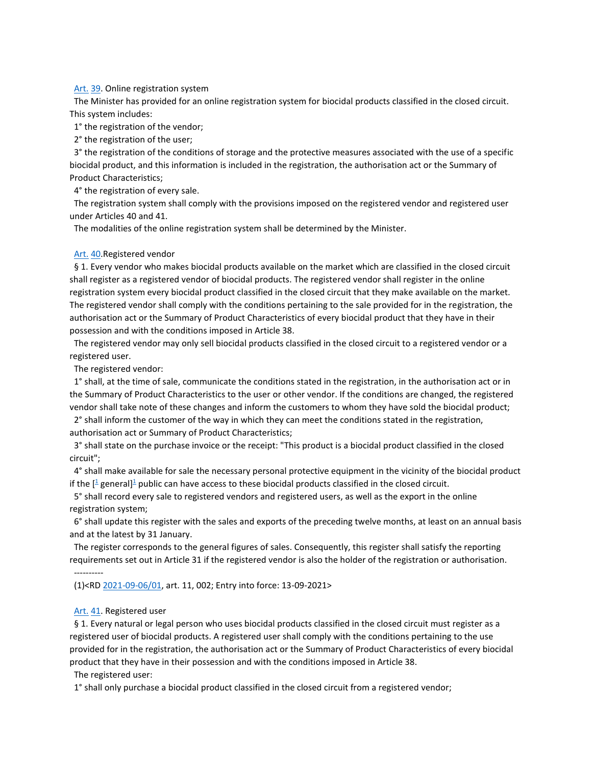#### [Art.](http://www.ejustice.just.fgov.be/cgi_loi/loi_a1.pl?DETAIL=2019040431%2FN&caller=list&row_id=1&numero=6&rech=7&cn=2019040431&table_name=WET&nm=2019011845&la=N&chercher=t&dt=KONINKLIJK+BESLUIT&language=nl&choix1=EN&choix2=EN&fromtab=wet_all&nl=n&sql=dt+contains++%27KONINKLIJK%27%2526+%27BESLUIT%27+and+dd+%3D+date%272019-04-04%27and+actif+%3D+%27Y%27&ddda=2019&tri=dd+AS+RANK+&trier=afkondiging&dddj=04&dddm=04&imgcn.x=41&imgcn.y=9#Art.38) [39.](http://www.ejustice.just.fgov.be/cgi_loi/loi_a1.pl?DETAIL=2019040431%2FN&caller=list&row_id=1&numero=6&rech=7&cn=2019040431&table_name=WET&nm=2019011845&la=N&chercher=t&dt=KONINKLIJK+BESLUIT&language=nl&choix1=EN&choix2=EN&fromtab=wet_all&nl=n&sql=dt+contains++%27KONINKLIJK%27%2526+%27BESLUIT%27+and+dd+%3D+date%272019-04-04%27and+actif+%3D+%27Y%27&ddda=2019&tri=dd+AS+RANK+&trier=afkondiging&dddj=04&dddm=04&imgcn.x=41&imgcn.y=9#Art.40) Online registration system

 The Minister has provided for an online registration system for biocidal products classified in the closed circuit. This system includes:

1° the registration of the vendor;

2° the registration of the user;

 3° the registration of the conditions of storage and the protective measures associated with the use of a specific biocidal product, and this information is included in the registration, the authorisation act or the Summary of Product Characteristics;

4° the registration of every sale.

 The registration system shall comply with the provisions imposed on the registered vendor and registered user under Articles 40 and 41.

The modalities of the online registration system shall be determined by the Minister.

### [Art.](http://www.ejustice.just.fgov.be/cgi_loi/loi_a1.pl?DETAIL=2019040431%2FN&caller=list&row_id=1&numero=6&rech=7&cn=2019040431&table_name=WET&nm=2019011845&la=N&chercher=t&dt=KONINKLIJK+BESLUIT&language=nl&choix1=EN&choix2=EN&fromtab=wet_all&nl=n&sql=dt+contains++%27KONINKLIJK%27%2526+%27BESLUIT%27+and+dd+%3D+date%272019-04-04%27and+actif+%3D+%27Y%27&ddda=2019&tri=dd+AS+RANK+&trier=afkondiging&dddj=04&dddm=04&imgcn.x=41&imgcn.y=9#Art.39) [40.](http://www.ejustice.just.fgov.be/cgi_loi/loi_a1.pl?DETAIL=2019040431%2FN&caller=list&row_id=1&numero=6&rech=7&cn=2019040431&table_name=WET&nm=2019011845&la=N&chercher=t&dt=KONINKLIJK+BESLUIT&language=nl&choix1=EN&choix2=EN&fromtab=wet_all&nl=n&sql=dt+contains++%27KONINKLIJK%27%2526+%27BESLUIT%27+and+dd+%3D+date%272019-04-04%27and+actif+%3D+%27Y%27&ddda=2019&tri=dd+AS+RANK+&trier=afkondiging&dddj=04&dddm=04&imgcn.x=41&imgcn.y=9#Art.41)Registered vendor

 § 1. Every vendor who makes biocidal products available on the market which are classified in the closed circuit shall register as a registered vendor of biocidal products. The registered vendor shall register in the online registration system every biocidal product classified in the closed circuit that they make available on the market. The registered vendor shall comply with the conditions pertaining to the sale provided for in the registration, the authorisation act or the Summary of Product Characteristics of every biocidal product that they have in their possession and with the conditions imposed in Article 38.

 The registered vendor may only sell biocidal products classified in the closed circuit to a registered vendor or a registered user.

The registered vendor:

 1° shall, at the time of sale, communicate the conditions stated in the registration, in the authorisation act or in the Summary of Product Characteristics to the user or other vendor. If the conditions are changed, the registered vendor shall take note of these changes and inform the customers to whom they have sold the biocidal product;

 2° shall inform the customer of the way in which they can meet the conditions stated in the registration, authorisation act or Summary of Product Characteristics;

 3° shall state on the purchase invoice or the receipt: "This product is a biocidal product classified in the closed circuit";

 4° shall make available for sale the necessary personal protective equipment in the vicinity of the biocidal product if the  $[1]$  $[1]$  $[1]$  general]<sup>1</sup> public can have access to these biocidal products classified in the closed circuit.

 5° shall record every sale to registered vendors and registered users, as well as the export in the online registration system;

 6° shall update this register with the sales and exports of the preceding twelve months, at least on an annual basis and at the latest by 31 January.

 The register corresponds to the general figures of sales. Consequently, this register shall satisfy the reporting requirements set out in Article 31 if the registered vendor is also the holder of the registration or authorisation.

----------

(1)<R[D 2021-09-06/01,](http://www.ejustice.just.fgov.be/cgi_loi/change_lg.pl?language=nl&la=N&table_name=wet&cn=2021090601) art. 11, 002; Entry into force: 13-09-2021>

## Art. [41.](http://www.ejustice.just.fgov.be/cgi_loi/loi_a1.pl?DETAIL=2019040431%2FN&caller=list&row_id=1&numero=6&rech=7&cn=2019040431&table_name=WET&nm=2019011845&la=N&chercher=t&dt=KONINKLIJK+BESLUIT&language=nl&choix1=EN&choix2=EN&fromtab=wet_all&nl=n&sql=dt+contains++%27KONINKLIJK%27%2526+%27BESLUIT%27+and+dd+%3D+date%272019-04-04%27and+actif+%3D+%27Y%27&ddda=2019&tri=dd+AS+RANK+&trier=afkondiging&dddj=04&dddm=04&imgcn.x=41&imgcn.y=9#LNK0013) Registered user

 § 1. Every natural or legal person who uses biocidal products classified in the closed circuit must register as a registered user of biocidal products. A registered user shall comply with the conditions pertaining to the use provided for in the registration, the authorisation act or the Summary of Product Characteristics of every biocidal product that they have in their possession and with the conditions imposed in Article 38.

The registered user:

1° shall only purchase a biocidal product classified in the closed circuit from a registered vendor;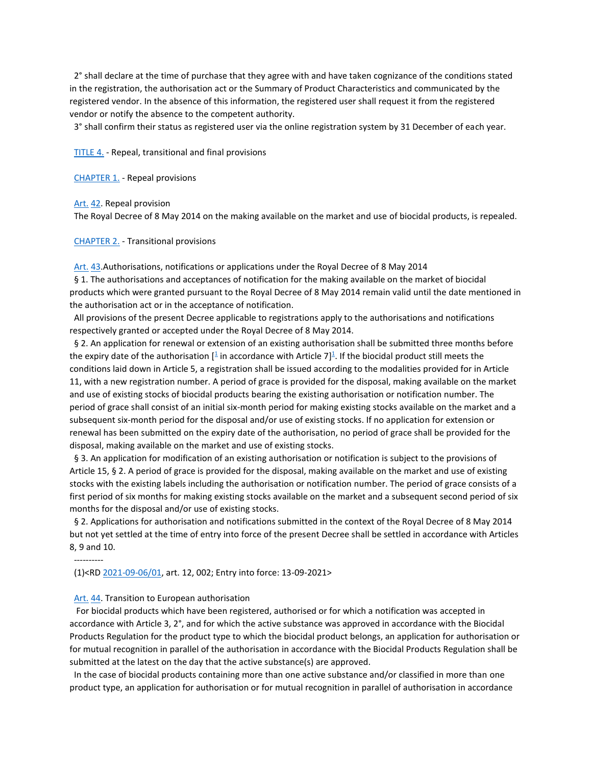2° shall declare at the time of purchase that they agree with and have taken cognizance of the conditions stated in the registration, the authorisation act or the Summary of Product Characteristics and communicated by the registered vendor. In the absence of this information, the registered user shall request it from the registered vendor or notify the absence to the competent authority.

3° shall confirm their status as registered user via the online registration system by 31 December of each year.

 [TITLE 4.](http://www.ejustice.just.fgov.be/cgi_loi/loi_a1.pl?DETAIL=2019040431%2FN&caller=list&row_id=1&numero=6&rech=7&cn=2019040431&table_name=WET&nm=2019011845&la=N&chercher=t&dt=KONINKLIJK+BESLUIT&language=nl&choix1=EN&choix2=EN&fromtab=wet_all&nl=n&sql=dt+contains++%27KONINKLIJK%27%2526+%27BESLUIT%27+and+dd+%3D+date%272019-04-04%27and+actif+%3D+%27Y%27&ddda=2019&tri=dd+AS+RANK+&trier=afkondiging&dddj=04&dddm=04&imgcn.x=41&imgcn.y=9#LNKR0013) - Repeal, transitional and final provisions

 [CHAPTER 1.](http://www.ejustice.just.fgov.be/cgi_loi/loi_a1.pl?DETAIL=2019040431%2FN&caller=list&row_id=1&numero=6&rech=7&cn=2019040431&table_name=WET&nm=2019011845&la=N&chercher=t&dt=KONINKLIJK+BESLUIT&language=nl&choix1=EN&choix2=EN&fromtab=wet_all&nl=n&sql=dt+contains++%27KONINKLIJK%27%2526+%27BESLUIT%27+and+dd+%3D+date%272019-04-04%27and+actif+%3D+%27Y%27&ddda=2019&tri=dd+AS+RANK+&trier=afkondiging&dddj=04&dddm=04&imgcn.x=41&imgcn.y=9#LNKR0014) - Repeal provisions

 [Art.](http://www.ejustice.just.fgov.be/cgi_loi/loi_a1.pl?DETAIL=2019040431%2FN&caller=list&row_id=1&numero=6&rech=7&cn=2019040431&table_name=WET&nm=2019011845&la=N&chercher=t&dt=KONINKLIJK+BESLUIT&language=nl&choix1=EN&choix2=EN&fromtab=wet_all&nl=n&sql=dt+contains++%27KONINKLIJK%27%2526+%27BESLUIT%27+and+dd+%3D+date%272019-04-04%27and+actif+%3D+%27Y%27&ddda=2019&tri=dd+AS+RANK+&trier=afkondiging&dddj=04&dddm=04&imgcn.x=41&imgcn.y=9#Art.41) [42.](http://www.ejustice.just.fgov.be/cgi_loi/loi_a1.pl?DETAIL=2019040431%2FN&caller=list&row_id=1&numero=6&rech=7&cn=2019040431&table_name=WET&nm=2019011845&la=N&chercher=t&dt=KONINKLIJK+BESLUIT&language=nl&choix1=EN&choix2=EN&fromtab=wet_all&nl=n&sql=dt+contains++%27KONINKLIJK%27%2526+%27BESLUIT%27+and+dd+%3D+date%272019-04-04%27and+actif+%3D+%27Y%27&ddda=2019&tri=dd+AS+RANK+&trier=afkondiging&dddj=04&dddm=04&imgcn.x=41&imgcn.y=9#LNK0015) Repeal provision

The Royal Decree of 8 May 2014 on the making available on the market and use of biocidal products, is repealed.

 [CHAPTER 2.](http://www.ejustice.just.fgov.be/cgi_loi/loi_a1.pl?DETAIL=2019040431%2FN&caller=list&row_id=1&numero=6&rech=7&cn=2019040431&table_name=WET&nm=2019011845&la=N&chercher=t&dt=KONINKLIJK+BESLUIT&language=nl&choix1=EN&choix2=EN&fromtab=wet_all&nl=n&sql=dt+contains++%27KONINKLIJK%27%2526+%27BESLUIT%27+and+dd+%3D+date%272019-04-04%27and+actif+%3D+%27Y%27&ddda=2019&tri=dd+AS+RANK+&trier=afkondiging&dddj=04&dddm=04&imgcn.x=41&imgcn.y=9#LNKR0015) - Transitional provisions

 [Art.](http://www.ejustice.just.fgov.be/cgi_loi/loi_a1.pl?DETAIL=2019040431%2FN&caller=list&row_id=1&numero=6&rech=7&cn=2019040431&table_name=WET&nm=2019011845&la=N&chercher=t&dt=KONINKLIJK+BESLUIT&language=nl&choix1=EN&choix2=EN&fromtab=wet_all&nl=n&sql=dt+contains++%27KONINKLIJK%27%2526+%27BESLUIT%27+and+dd+%3D+date%272019-04-04%27and+actif+%3D+%27Y%27&ddda=2019&tri=dd+AS+RANK+&trier=afkondiging&dddj=04&dddm=04&imgcn.x=41&imgcn.y=9#Art.42) [43.](http://www.ejustice.just.fgov.be/cgi_loi/loi_a1.pl?DETAIL=2019040431%2FN&caller=list&row_id=1&numero=6&rech=7&cn=2019040431&table_name=WET&nm=2019011845&la=N&chercher=t&dt=KONINKLIJK+BESLUIT&language=nl&choix1=EN&choix2=EN&fromtab=wet_all&nl=n&sql=dt+contains++%27KONINKLIJK%27%2526+%27BESLUIT%27+and+dd+%3D+date%272019-04-04%27and+actif+%3D+%27Y%27&ddda=2019&tri=dd+AS+RANK+&trier=afkondiging&dddj=04&dddm=04&imgcn.x=41&imgcn.y=9#Art.44)Authorisations, notifications or applications under the Royal Decree of 8 May 2014

 § 1. The authorisations and acceptances of notification for the making available on the market of biocidal products which were granted pursuant to the Royal Decree of 8 May 2014 remain valid until the date mentioned in the authorisation act or in the acceptance of notification.

 All provisions of the present Decree applicable to registrations apply to the authorisations and notifications respectively granted or accepted under the Royal Decree of 8 May 2014.

 § 2. An application for renewal or extension of an existing authorisation shall be submitted three months before the expiry date of the authorisation  $[$ <sup> $\pm$ </sup> in accordance with Article 7]<sup> $\pm$ </sup>[.](http://www.ejustice.just.fgov.be/cgi_loi/loi_a1.pl?DETAIL=2019040431%2FN&caller=list&row_id=1&numero=6&rech=7&cn=2019040431&table_name=WET&nm=2019011845&la=N&chercher=t&dt=KONINKLIJK+BESLUIT&language=nl&choix1=EN&choix2=EN&fromtab=wet_all&nl=n&sql=dt+contains++%27KONINKLIJK%27%2526+%27BESLUIT%27+and+dd+%3D+date%272019-04-04%27and+actif+%3D+%27Y%27&ddda=2019&tri=dd+AS+RANK+&trier=afkondiging&dddj=04&dddm=04&imgcn.x=41&imgcn.y=9#t) If the biocidal product still meets the conditions laid down in Article 5, a registration shall be issued according to the modalities provided for in Article 11, with a new registration number. A period of grace is provided for the disposal, making available on the market and use of existing stocks of biocidal products bearing the existing authorisation or notification number. The period of grace shall consist of an initial six-month period for making existing stocks available on the market and a subsequent six-month period for the disposal and/or use of existing stocks. If no application for extension or renewal has been submitted on the expiry date of the authorisation, no period of grace shall be provided for the disposal, making available on the market and use of existing stocks.

§ 3. An application for modification of an existing authorisation or notification is subject to the provisions of Article 15, § 2. A period of grace is provided for the disposal, making available on the market and use of existing stocks with the existing labels including the authorisation or notification number. The period of grace consists of a first period of six months for making existing stocks available on the market and a subsequent second period of six months for the disposal and/or use of existing stocks.

 § 2. Applications for authorisation and notifications submitted in the context of the Royal Decree of 8 May 2014 but not yet settled at the time of entry into force of the present Decree shall be settled in accordance with Articles 8, 9 and 10.

----------

(1)<R[D 2021-09-06/01,](http://www.ejustice.just.fgov.be/cgi_loi/change_lg.pl?language=nl&la=N&table_name=wet&cn=2021090601) art. 12, 002; Entry into force: 13-09-2021>

## [Art.](http://www.ejustice.just.fgov.be/cgi_loi/loi_a1.pl?DETAIL=2019040431%2FN&caller=list&row_id=1&numero=6&rech=7&cn=2019040431&table_name=WET&nm=2019011845&la=N&chercher=t&dt=KONINKLIJK+BESLUIT&language=nl&choix1=EN&choix2=EN&fromtab=wet_all&nl=n&sql=dt+contains++%27KONINKLIJK%27%2526+%27BESLUIT%27+and+dd+%3D+date%272019-04-04%27and+actif+%3D+%27Y%27&ddda=2019&tri=dd+AS+RANK+&trier=afkondiging&dddj=04&dddm=04&imgcn.x=41&imgcn.y=9#Art.43) [44.](http://www.ejustice.just.fgov.be/cgi_loi/loi_a1.pl?DETAIL=2019040431%2FN&caller=list&row_id=1&numero=6&rech=7&cn=2019040431&table_name=WET&nm=2019011845&la=N&chercher=t&dt=KONINKLIJK+BESLUIT&language=nl&choix1=EN&choix2=EN&fromtab=wet_all&nl=n&sql=dt+contains++%27KONINKLIJK%27%2526+%27BESLUIT%27+and+dd+%3D+date%272019-04-04%27and+actif+%3D+%27Y%27&ddda=2019&tri=dd+AS+RANK+&trier=afkondiging&dddj=04&dddm=04&imgcn.x=41&imgcn.y=9#LNK0016) Transition to European authorisation

 For biocidal products which have been registered, authorised or for which a notification was accepted in accordance with Article 3, 2°, and for which the active substance was approved in accordance with the Biocidal Products Regulation for the product type to which the biocidal product belongs, an application for authorisation or for mutual recognition in parallel of the authorisation in accordance with the Biocidal Products Regulation shall be submitted at the latest on the day that the active substance(s) are approved.

 In the case of biocidal products containing more than one active substance and/or classified in more than one product type, an application for authorisation or for mutual recognition in parallel of authorisation in accordance